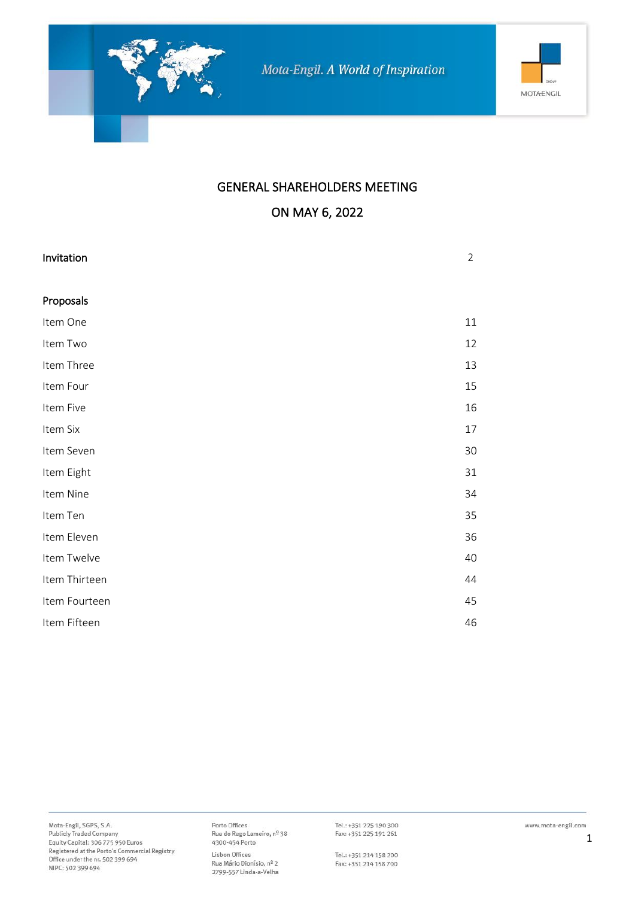

### GENERAL SHAREHOLDERS MEETING

### ON MAY 6, 2022

| Invitation    | $\overline{2}$ |
|---------------|----------------|
| Proposals     |                |
| Item One      | 11             |
| Item Two      | 12             |
| Item Three    | 13             |
| Item Four     | 15             |
| Item Five     | 16             |
| Item Six      | 17             |
| Item Seven    | 30             |
| Item Eight    | 31             |
| Item Nine     | 34             |
| Item Ten      | 35             |
| Item Eleven   | 36             |
| Item Twelve   | 40             |
| Item Thirteen | 44             |
| Item Fourteen | 45             |
| Item Fifteen  | 46             |

Porto Offices<br>Rua do Rego Lameiro, nº 38<br>4300-454 Porto Lisbon Offices Rua Mário Dionísio, nº 2 2799-557 Linda-a-Velha

Tel.: +351 225 190 300<br>Fax: +351 225 191 261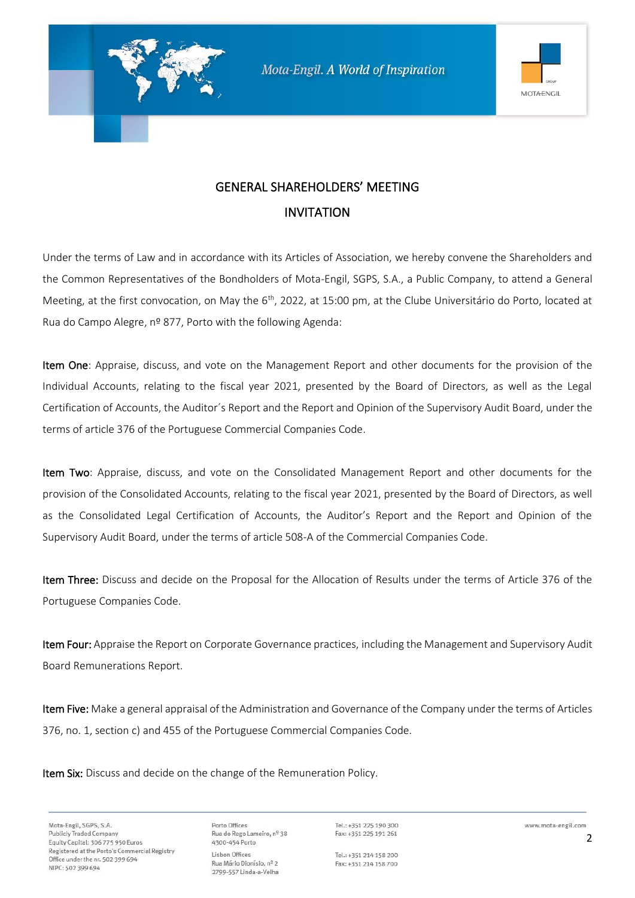



# GENERAL SHAREHOLDERS' MEETING INVITATION

Under the terms of Law and in accordance with its Articles of Association, we hereby convene the Shareholders and the Common Representatives of the Bondholders of Mota-Engil, SGPS, S.A., a Public Company, to attend a General Meeting, at the first convocation, on May the 6<sup>th</sup>, 2022, at 15:00 pm, at the Clube Universitário do Porto, located at Rua do Campo Alegre, nº 877, Porto with the following Agenda:

Item One: Appraise, discuss, and vote on the Management Report and other documents for the provision of the Individual Accounts, relating to the fiscal year 2021, presented by the Board of Directors, as well as the Legal Certification of Accounts, the Auditor´s Report and the Report and Opinion of the Supervisory Audit Board, under the terms of article 376 of the Portuguese Commercial Companies Code.

Item Two: Appraise, discuss, and vote on the Consolidated Management Report and other documents for the provision of the Consolidated Accounts, relating to the fiscal year 2021, presented by the Board of Directors, as well as the Consolidated Legal Certification of Accounts, the Auditor's Report and the Report and Opinion of the Supervisory Audit Board, under the terms of article 508-A of the Commercial Companies Code.

Item Three: Discuss and decide on the Proposal for the Allocation of Results under the terms of Article 376 of the Portuguese Companies Code.

Item Four: Appraise the Report on Corporate Governance practices, including the Management and Supervisory Audit Board Remunerations Report.

Item Five: Make a general appraisal of the Administration and Governance of the Company under the terms of Articles 376, no. 1, section c) and 455 of the Portuguese Commercial Companies Code.

Item Six: Discuss and decide on the change of the Remuneration Policy.

Mota-Engil, SGPS, S.A. **Publicly Traded Company** Equity Capital: 306 775 950 Euros Registered at the Porto's Commercial Registry Office under the nr. 502 399 694 NIPC: 502 399 694

Porto Offices Rua do Rego Lameiro, nº 38 4300-454 Porto Lisbon Offices Rua Mário Dionísio, nº 2 2799-557 Linda-a-Velha

Tel.: +351 225 190 300 Fax: +351 225 191 261

Tel.: +351 214 158 200 Fax: +351 214 158 700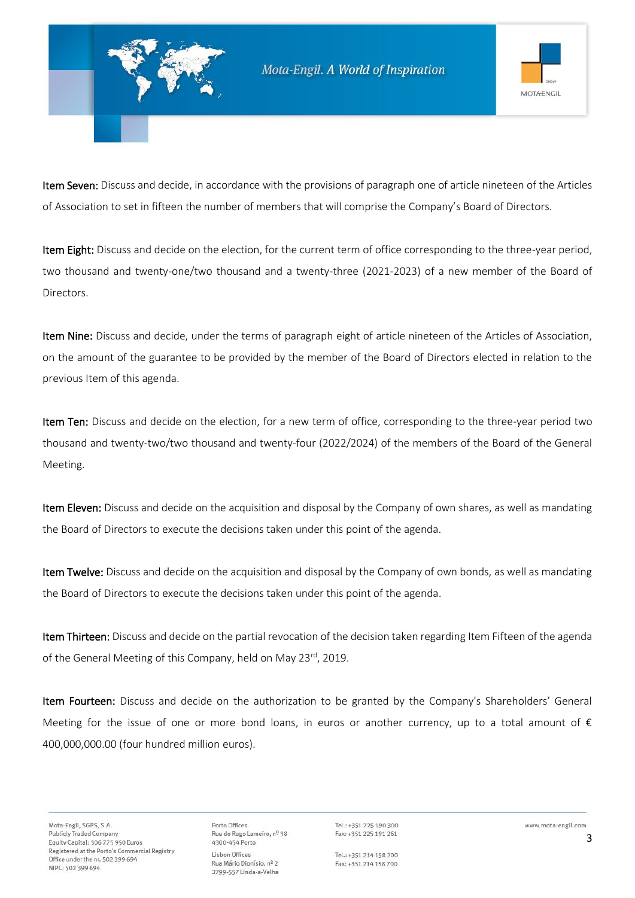

Item Seven: Discuss and decide, in accordance with the provisions of paragraph one of article nineteen of the Articles of Association to set in fifteen the number of members that will comprise the Company's Board of Directors.

Item Eight: Discuss and decide on the election, for the current term of office corresponding to the three-year period, two thousand and twenty-one/two thousand and a twenty-three (2021-2023) of a new member of the Board of Directors.

Item Nine: Discuss and decide, under the terms of paragraph eight of article nineteen of the Articles of Association, on the amount of the guarantee to be provided by the member of the Board of Directors elected in relation to the previous Item of this agenda.

Item Ten: Discuss and decide on the election, for a new term of office, corresponding to the three-year period two thousand and twenty-two/two thousand and twenty-four (2022/2024) of the members of the Board of the General Meeting.

Item Eleven: Discuss and decide on the acquisition and disposal by the Company of own shares, as well as mandating the Board of Directors to execute the decisions taken under this point of the agenda.

Item Twelve: Discuss and decide on the acquisition and disposal by the Company of own bonds, as well as mandating the Board of Directors to execute the decisions taken under this point of the agenda.

Item Thirteen: Discuss and decide on the partial revocation of the decision taken regarding Item Fifteen of the agenda of the General Meeting of this Company, held on May 23<sup>rd</sup>, 2019.

Item Fourteen: Discuss and decide on the authorization to be granted by the Company's Shareholders' General Meeting for the issue of one or more bond loans, in euros or another currency, up to a total amount of  $\epsilon$ 400,000,000.00 (four hundred million euros).

Porto Offices Rua do Rego Lameiro, nº 38 4300-454 Porto Lisbon Offices Rua Mário Dionísio, nº 2 2799-557 Linda-a-Velha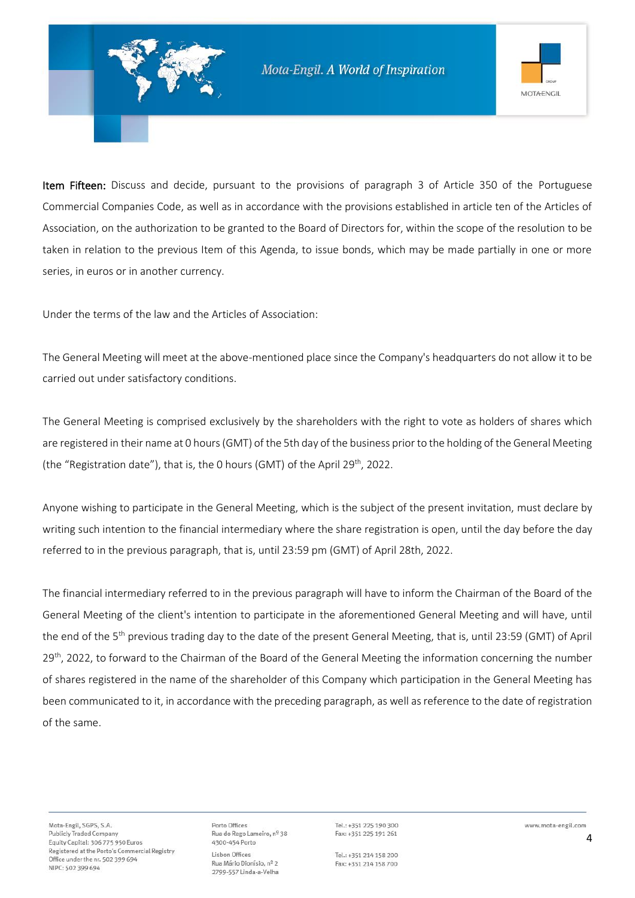

Item Fifteen: Discuss and decide, pursuant to the provisions of paragraph 3 of Article 350 of the Portuguese Commercial Companies Code, as well as in accordance with the provisions established in article ten of the Articles of Association, on the authorization to be granted to the Board of Directors for, within the scope of the resolution to be taken in relation to the previous Item of this Agenda, to issue bonds, which may be made partially in one or more series, in euros or in another currency.

Under the terms of the law and the Articles of Association:

The General Meeting will meet at the above-mentioned place since the Company's headquarters do not allow it to be carried out under satisfactory conditions.

The General Meeting is comprised exclusively by the shareholders with the right to vote as holders of shares which are registered in their name at 0 hours (GMT) of the 5th day of the business prior to the holding of the General Meeting (the "Registration date"), that is, the 0 hours (GMT) of the April 29<sup>th</sup>, 2022.

Anyone wishing to participate in the General Meeting, which is the subject of the present invitation, must declare by writing such intention to the financial intermediary where the share registration is open, until the day before the day referred to in the previous paragraph, that is, until 23:59 pm (GMT) of April 28th, 2022.

The financial intermediary referred to in the previous paragraph will have to inform the Chairman of the Board of the General Meeting of the client's intention to participate in the aforementioned General Meeting and will have, until the end of the 5<sup>th</sup> previous trading day to the date of the present General Meeting, that is, until 23:59 (GMT) of April 29<sup>th</sup>, 2022, to forward to the Chairman of the Board of the General Meeting the information concerning the number of shares registered in the name of the shareholder of this Company which participation in the General Meeting has been communicated to it, in accordance with the preceding paragraph, as well as reference to the date of registration of the same.

Porto Offices Rua do Rego Lameiro, nº 38 4300-454 Porto Lisbon Offices Rua Mário Dionísio, nº 2 2799-557 Linda-a-Velha

Tel.: +351 225 190 300 Fax: +351 225 191 261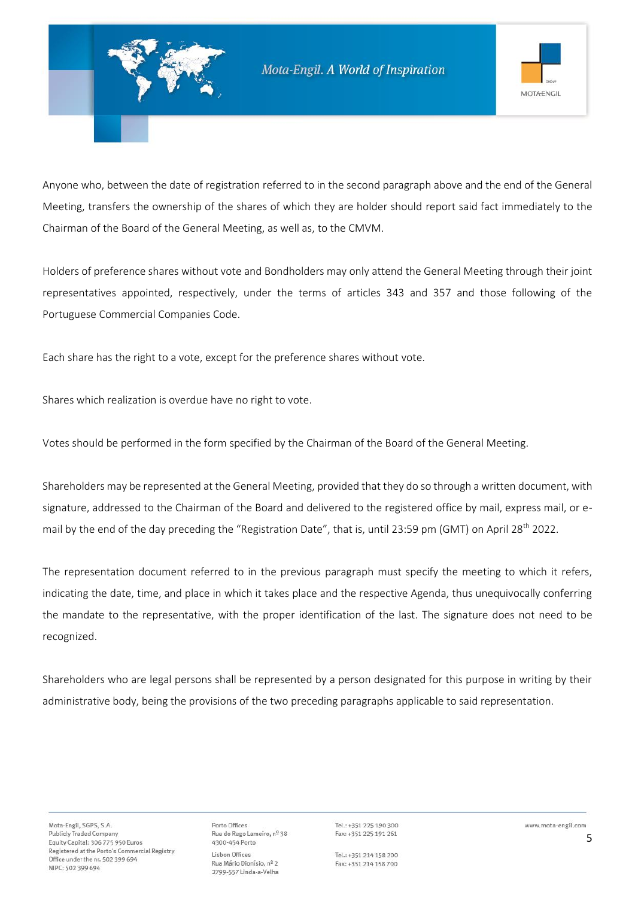

Anyone who, between the date of registration referred to in the second paragraph above and the end of the General Meeting, transfers the ownership of the shares of which they are holder should report said fact immediately to the Chairman of the Board of the General Meeting, as well as, to the CMVM.

Holders of preference shares without vote and Bondholders may only attend the General Meeting through their joint representatives appointed, respectively, under the terms of articles 343 and 357 and those following of the Portuguese Commercial Companies Code.

Each share has the right to a vote, except for the preference shares without vote.

Shares which realization is overdue have no right to vote.

Votes should be performed in the form specified by the Chairman of the Board of the General Meeting.

Shareholders may be represented at the General Meeting, provided that they do so through a written document, with signature, addressed to the Chairman of the Board and delivered to the registered office by mail, express mail, or email by the end of the day preceding the "Registration Date", that is, until 23:59 pm (GMT) on April 28<sup>th</sup> 2022.

The representation document referred to in the previous paragraph must specify the meeting to which it refers, indicating the date, time, and place in which it takes place and the respective Agenda, thus unequivocally conferring the mandate to the representative, with the proper identification of the last. The signature does not need to be recognized.

Shareholders who are legal persons shall be represented by a person designated for this purpose in writing by their administrative body, being the provisions of the two preceding paragraphs applicable to said representation.

Porto Offices Rua do Rego Lameiro, nº 38 4300-454 Porto Lisbon Offices Rua Mário Dionísio, nº 2 2799-557 Linda-a-Velha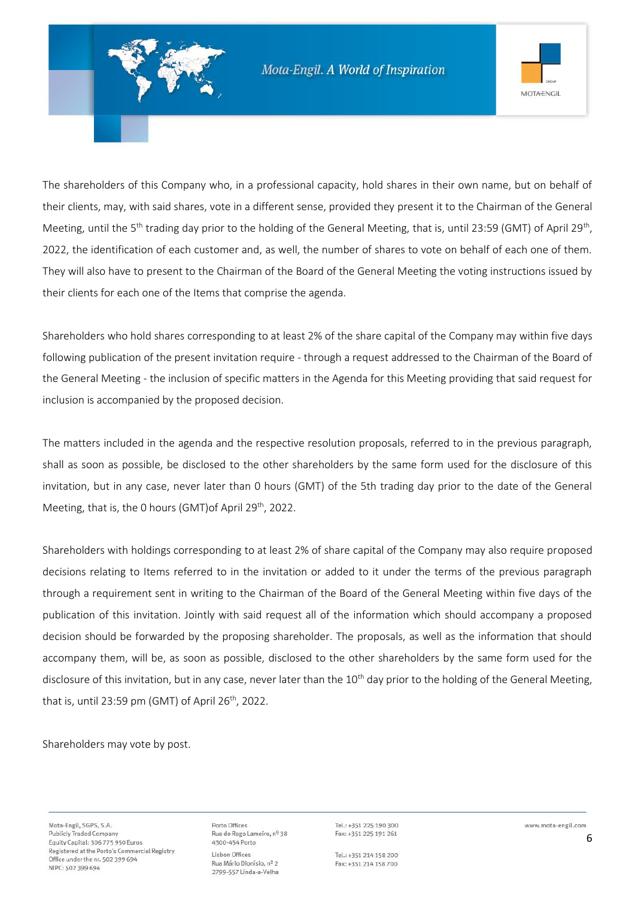

The shareholders of this Company who, in a professional capacity, hold shares in their own name, but on behalf of their clients, may, with said shares, vote in a different sense, provided they present it to the Chairman of the General Meeting, until the 5<sup>th</sup> trading day prior to the holding of the General Meeting, that is, until 23:59 (GMT) of April 29<sup>th</sup>, 2022, the identification of each customer and, as well, the number of shares to vote on behalf of each one of them. They will also have to present to the Chairman of the Board of the General Meeting the voting instructions issued by their clients for each one of the Items that comprise the agenda.

Shareholders who hold shares corresponding to at least 2% of the share capital of the Company may within five days following publication of the present invitation require - through a request addressed to the Chairman of the Board of the General Meeting - the inclusion of specific matters in the Agenda for this Meeting providing that said request for inclusion is accompanied by the proposed decision.

The matters included in the agenda and the respective resolution proposals, referred to in the previous paragraph, shall as soon as possible, be disclosed to the other shareholders by the same form used for the disclosure of this invitation, but in any case, never later than 0 hours (GMT) of the 5th trading day prior to the date of the General Meeting, that is, the 0 hours (GMT) of April 29<sup>th</sup>, 2022.

Shareholders with holdings corresponding to at least 2% of share capital of the Company may also require proposed decisions relating to Items referred to in the invitation or added to it under the terms of the previous paragraph through a requirement sent in writing to the Chairman of the Board of the General Meeting within five days of the publication of this invitation. Jointly with said request all of the information which should accompany a proposed decision should be forwarded by the proposing shareholder. The proposals, as well as the information that should accompany them, will be, as soon as possible, disclosed to the other shareholders by the same form used for the disclosure of this invitation, but in any case, never later than the  $10^{th}$  day prior to the holding of the General Meeting, that is, until 23:59 pm (GMT) of April 26<sup>th</sup>, 2022.

Shareholders may vote by post.

Porto Offices Rua do Rego Lameiro, nº 38 4300-454 Porto Lisbon Offices Rua Mário Dionísio, nº 2 2799-557 Linda-a-Velha

Tel.: +351 225 190 300 Fax: +351 225 191 261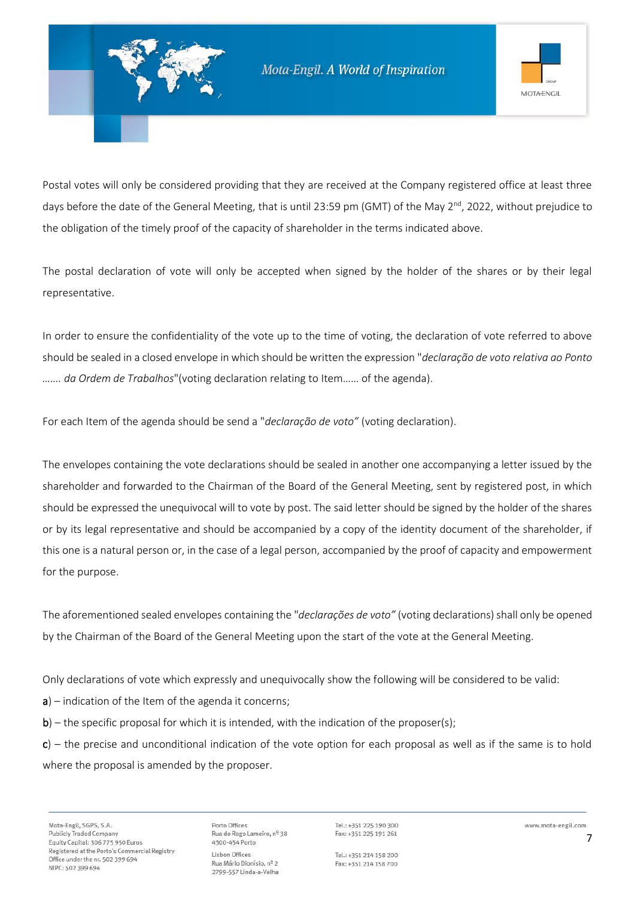

Postal votes will only be considered providing that they are received at the Company registered office at least three days before the date of the General Meeting, that is until 23:59 pm (GMT) of the May  $2^{nd}$ , 2022, without prejudice to the obligation of the timely proof of the capacity of shareholder in the terms indicated above.

The postal declaration of vote will only be accepted when signed by the holder of the shares or by their legal representative.

In order to ensure the confidentiality of the vote up to the time of voting, the declaration of vote referred to above should be sealed in a closed envelope in which should be written the expression "*declaração de voto relativa ao Ponto ……. da Ordem de Trabalhos*"(voting declaration relating to Item…… of the agenda).

For each Item of the agenda should be send a "*declaração de voto"* (voting declaration).

The envelopes containing the vote declarations should be sealed in another one accompanying a letter issued by the shareholder and forwarded to the Chairman of the Board of the General Meeting, sent by registered post, in which should be expressed the unequivocal will to vote by post. The said letter should be signed by the holder of the shares or by its legal representative and should be accompanied by a copy of the identity document of the shareholder, if this one is a natural person or, in the case of a legal person, accompanied by the proof of capacity and empowerment for the purpose.

The aforementioned sealed envelopes containing the "*declarações de voto"* (voting declarations) shall only be opened by the Chairman of the Board of the General Meeting upon the start of the vote at the General Meeting.

Only declarations of vote which expressly and unequivocally show the following will be considered to be valid:

- $a$ ) indication of the Item of the agenda it concerns;
- $b$ ) the specific proposal for which it is intended, with the indication of the proposer(s);

 $c$ ) – the precise and unconditional indication of the vote option for each proposal as well as if the same is to hold where the proposal is amended by the proposer.

Porto Offices Rua do Rego Lameiro, nº 38 4300-454 Porto Lisbon Offices Rua Mário Dionísio, nº 2 2799-557 Linda-a-Velha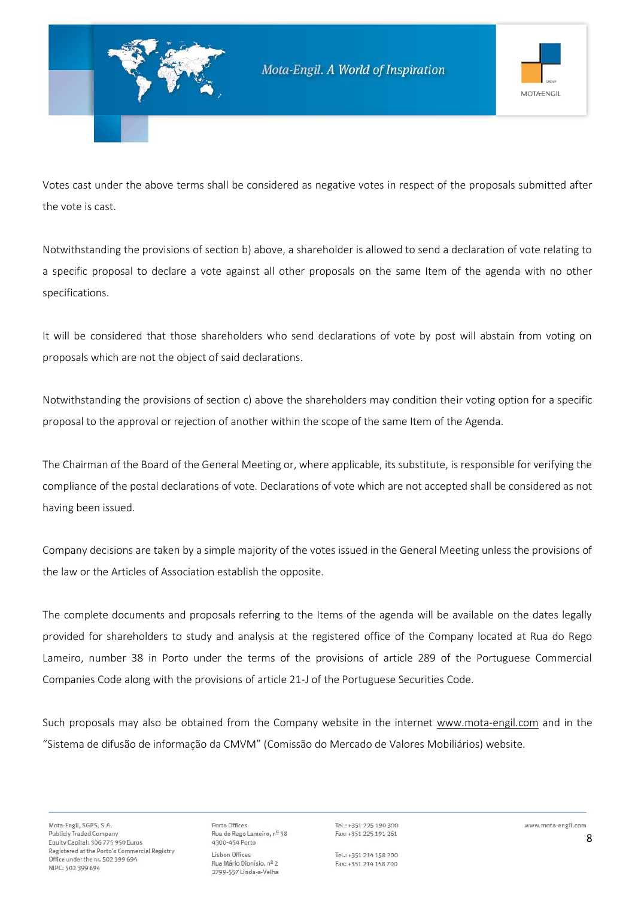

Votes cast under the above terms shall be considered as negative votes in respect of the proposals submitted after the vote is cast.

Notwithstanding the provisions of section b) above, a shareholder is allowed to send a declaration of vote relating to a specific proposal to declare a vote against all other proposals on the same Item of the agenda with no other specifications.

It will be considered that those shareholders who send declarations of vote by post will abstain from voting on proposals which are not the object of said declarations.

Notwithstanding the provisions of section c) above the shareholders may condition their voting option for a specific proposal to the approval or rejection of another within the scope of the same Item of the Agenda.

The Chairman of the Board of the General Meeting or, where applicable, its substitute, is responsible for verifying the compliance of the postal declarations of vote. Declarations of vote which are not accepted shall be considered as not having been issued.

Company decisions are taken by a simple majority of the votes issued in the General Meeting unless the provisions of the law or the Articles of Association establish the opposite.

The complete documents and proposals referring to the Items of the agenda will be available on the dates legally provided for shareholders to study and analysis at the registered office of the Company located at Rua do Rego Lameiro, number 38 in Porto under the terms of the provisions of article 289 of the Portuguese Commercial Companies Code along with the provisions of article 21-J of the Portuguese Securities Code.

Such proposals may also be obtained from the Company website in the internet [www.mota-engil.com](http://www.mota-engil.com/) and in the "Sistema de difusão de informação da CMVM" (Comissão do Mercado de Valores Mobiliários) website.

Porto Offices Rua do Rego Lameiro, nº 38 4300-454 Porto Lisbon Offices Rua Mário Dionísio, nº 2 2799-557 Linda-a-Velha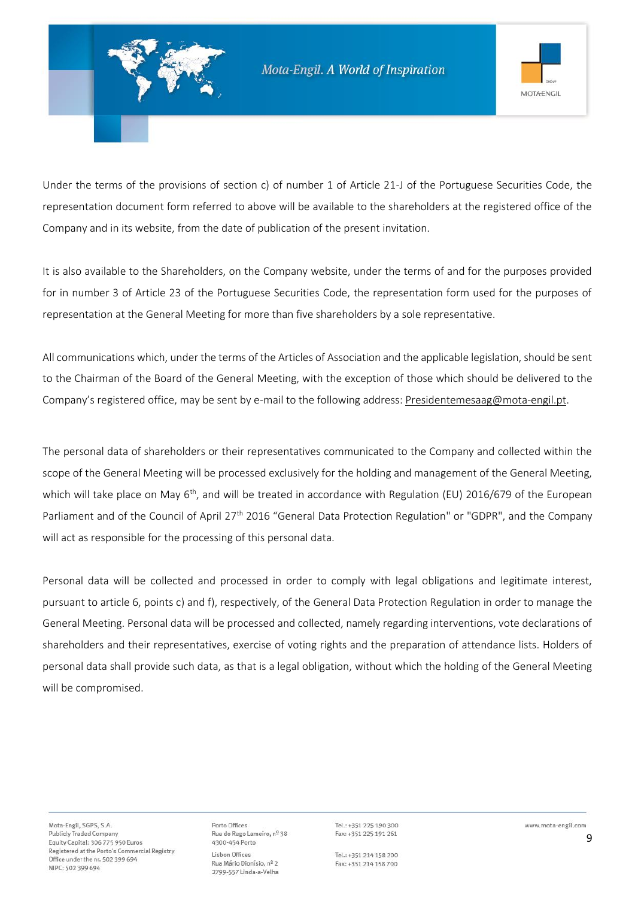

Under the terms of the provisions of section c) of number 1 of Article 21-J of the Portuguese Securities Code, the representation document form referred to above will be available to the shareholders at the registered office of the Company and in its website, from the date of publication of the present invitation.

It is also available to the Shareholders, on the Company website, under the terms of and for the purposes provided for in number 3 of Article 23 of the Portuguese Securities Code, the representation form used for the purposes of representation at the General Meeting for more than five shareholders by a sole representative.

All communications which, under the terms of the Articles of Association and the applicable legislation, should be sent to the Chairman of the Board of the General Meeting, with the exception of those which should be delivered to the Company's registered office, may be sent by e-mail to the following address: [Presidentemesaag@mota-engil.pt.](mailto:Presidentemesaag@mota-engil.pt)

The personal data of shareholders or their representatives communicated to the Company and collected within the scope of the General Meeting will be processed exclusively for the holding and management of the General Meeting, which will take place on May  $6<sup>th</sup>$ , and will be treated in accordance with Regulation (EU) 2016/679 of the European Parliament and of the Council of April 27<sup>th</sup> 2016 "General Data Protection Regulation" or "GDPR", and the Company will act as responsible for the processing of this personal data.

Personal data will be collected and processed in order to comply with legal obligations and legitimate interest, pursuant to article 6, points c) and f), respectively, of the General Data Protection Regulation in order to manage the General Meeting. Personal data will be processed and collected, namely regarding interventions, vote declarations of shareholders and their representatives, exercise of voting rights and the preparation of attendance lists. Holders of personal data shall provide such data, as that is a legal obligation, without which the holding of the General Meeting will be compromised.

Porto Offices Rua do Rego Lameiro, nº 38 4300-454 Porto Lisbon Offices Rua Mário Dionísio, nº 2 2799-557 Linda-a-Velha

Tel.: +351 225 190 300 Fax: +351 225 191 261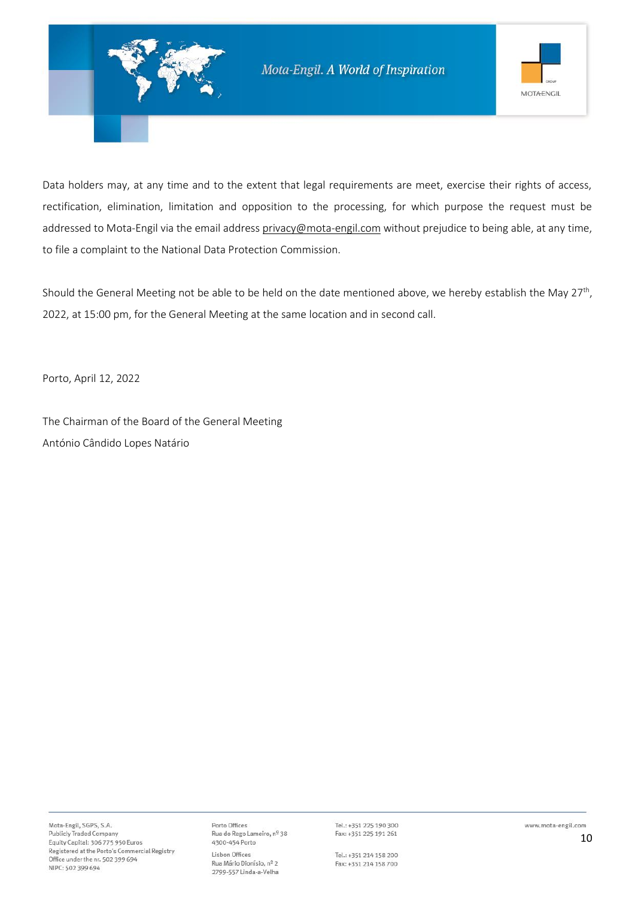

Data holders may, at any time and to the extent that legal requirements are meet, exercise their rights of access, rectification, elimination, limitation and opposition to the processing, for which purpose the request must be addressed to Mota-Engil via the email address [privacy@mota-engil.com](mailto:privacy@mota-engil.com) without prejudice to being able, at any time, to file a complaint to the National Data Protection Commission.

Should the General Meeting not be able to be held on the date mentioned above, we hereby establish the May 27<sup>th</sup>, 2022, at 15:00 pm, for the General Meeting at the same location and in second call.

Porto, April 12, 2022

The Chairman of the Board of the General Meeting António Cândido Lopes Natário

Porto Offices Rua do Rego Lameiro, nº 38 4300-454 Porto Lisbon Offices Rua Mário Dionísio, nº 2 2799-557 Linda-a-Velha

Tel.: +351 225 190 300 Fax: +351 225 191 261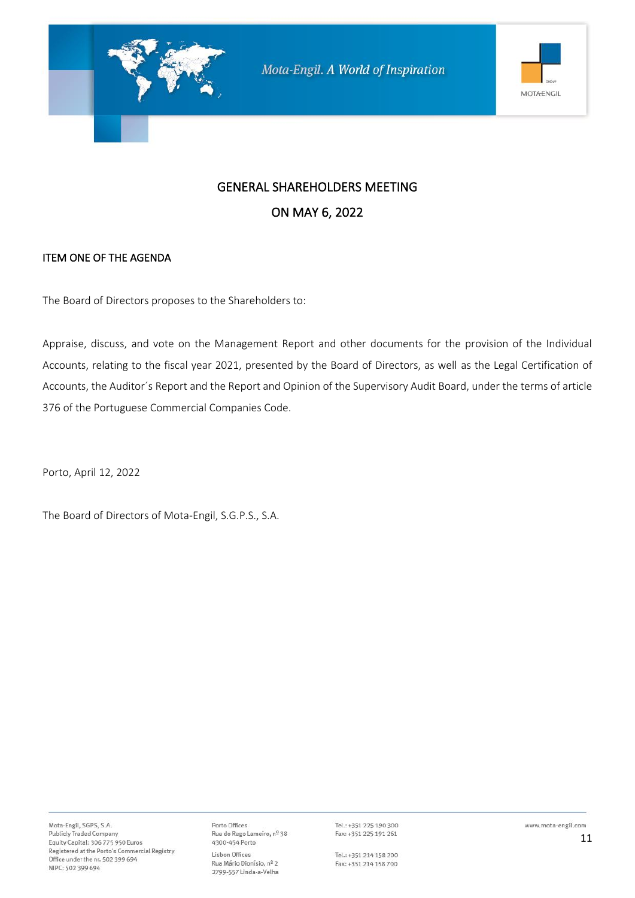

#### ITEM ONE OF THE AGENDA

The Board of Directors proposes to the Shareholders to:

Appraise, discuss, and vote on the Management Report and other documents for the provision of the Individual Accounts, relating to the fiscal year 2021, presented by the Board of Directors, as well as the Legal Certification of Accounts, the Auditor´s Report and the Report and Opinion of the Supervisory Audit Board, under the terms of article 376 of the Portuguese Commercial Companies Code.

Porto, April 12, 2022

The Board of Directors of Mota-Engil, S.G.P.S., S.A.

Porto Offices Rua do Rego Lameiro, nº 38 4300-454 Porto Lisbon Offices Rua Mário Dionísio, nº 2 2799-557 Linda-a-Velha

Tel.: +351 225 190 300 Fax: +351 225 191 261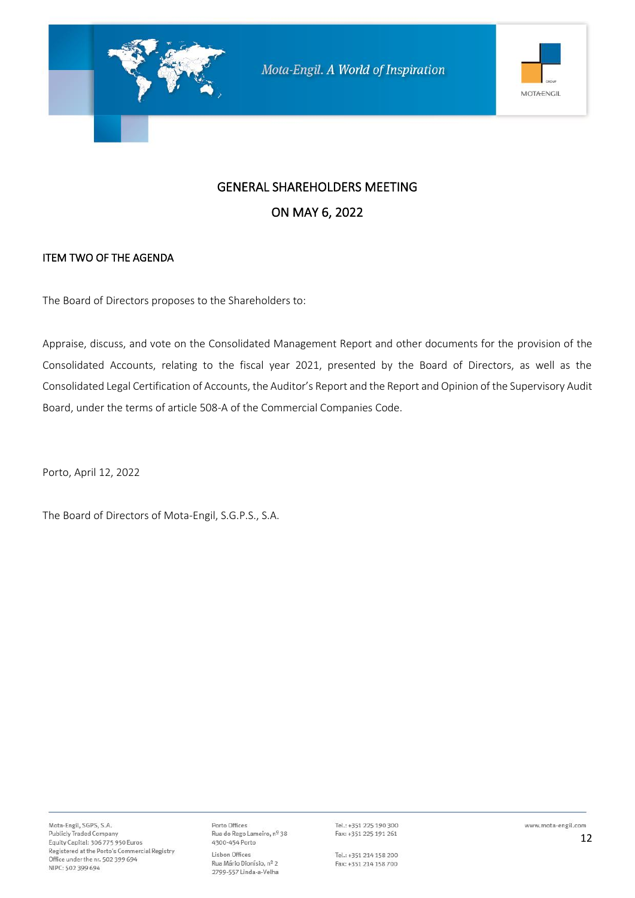

### ITEM TWO OF THE AGENDA

The Board of Directors proposes to the Shareholders to:

Appraise, discuss, and vote on the Consolidated Management Report and other documents for the provision of the Consolidated Accounts, relating to the fiscal year 2021, presented by the Board of Directors, as well as the Consolidated Legal Certification of Accounts, the Auditor's Report and the Report and Opinion of the Supervisory Audit Board, under the terms of article 508-A of the Commercial Companies Code.

Porto, April 12, 2022

The Board of Directors of Mota-Engil, S.G.P.S., S.A.

Porto Offices Rua do Rego Lameiro, nº 38 4300-454 Porto Lisbon Offices Rua Mário Dionísio, nº 2 2799-557 Linda-a-Velha

Tel.: +351 225 190 300 Fax: +351 225 191 261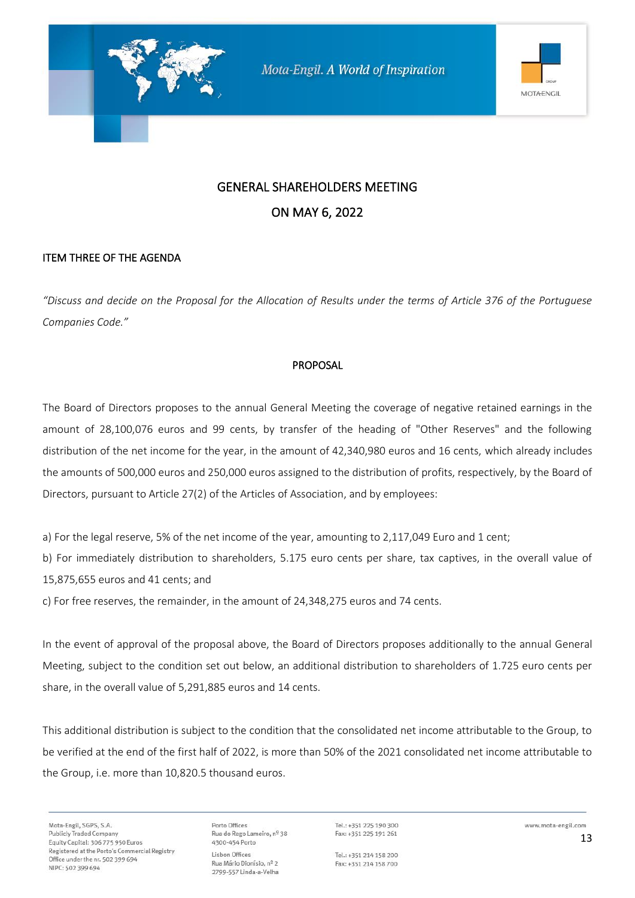

#### ITEM THREE OF THE AGENDA

*"Discuss and decide on the Proposal for the Allocation of Results under the terms of Article 376 of the Portuguese Companies Code."* 

#### PROPOSAL

The Board of Directors proposes to the annual General Meeting the coverage of negative retained earnings in the amount of 28,100,076 euros and 99 cents, by transfer of the heading of "Other Reserves" and the following distribution of the net income for the year, in the amount of 42,340,980 euros and 16 cents, which already includes the amounts of 500,000 euros and 250,000 euros assigned to the distribution of profits, respectively, by the Board of Directors, pursuant to Article 27(2) of the Articles of Association, and by employees:

a) For the legal reserve, 5% of the net income of the year, amounting to 2,117,049 Euro and 1 cent;

b) For immediately distribution to shareholders, 5.175 euro cents per share, tax captives, in the overall value of 15,875,655 euros and 41 cents; and

c) For free reserves, the remainder, in the amount of 24,348,275 euros and 74 cents.

In the event of approval of the proposal above, the Board of Directors proposes additionally to the annual General Meeting, subject to the condition set out below, an additional distribution to shareholders of 1.725 euro cents per share, in the overall value of 5,291,885 euros and 14 cents.

This additional distribution is subject to the condition that the consolidated net income attributable to the Group, to be verified at the end of the first half of 2022, is more than 50% of the 2021 consolidated net income attributable to the Group, i.e. more than 10,820.5 thousand euros.

Porto Offices Rua do Rego Lameiro, nº 38 4300-454 Porto Lisbon Offices Rua Mário Dionísio, nº 2 2799-557 Linda-a-Velha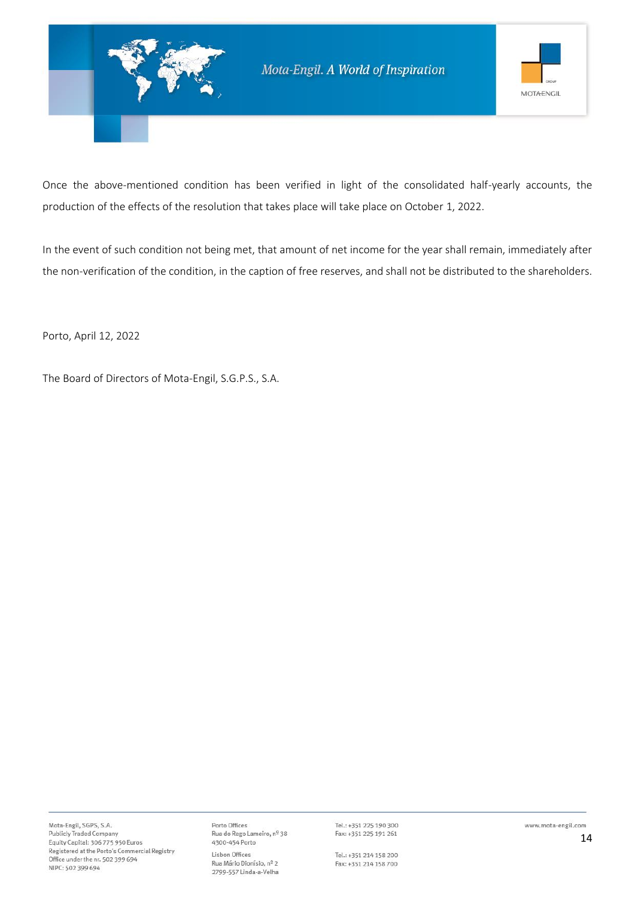

Once the above-mentioned condition has been verified in light of the consolidated half-yearly accounts, the production of the effects of the resolution that takes place will take place on October 1, 2022.

In the event of such condition not being met, that amount of net income for the year shall remain, immediately after the non-verification of the condition, in the caption of free reserves, and shall not be distributed to the shareholders.

Porto, April 12, 2022

The Board of Directors of Mota-Engil, S.G.P.S., S.A.

Porto Offices Rua do Rego Lameiro, nº 38 4300-454 Porto Lisbon Offices Rua Mário Dionísio, nº 2 2799-557 Linda-a-Velha

Tel.: +351 225 190 300 Fax: +351 225 191 261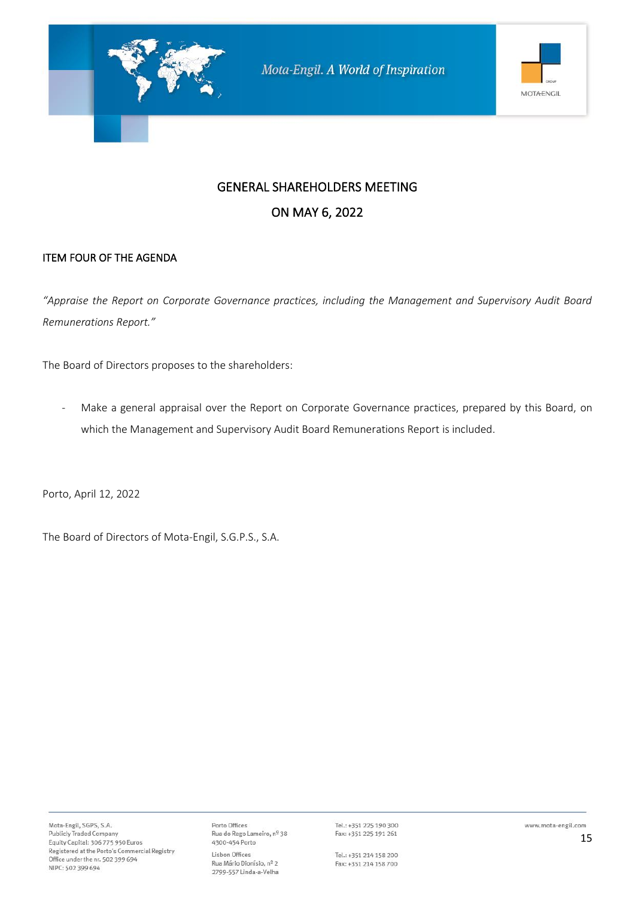

### ITEM FOUR OF THE AGENDA

*"Appraise the Report on Corporate Governance practices, including the Management and Supervisory Audit Board Remunerations Report."*

The Board of Directors proposes to the shareholders:

- Make a general appraisal over the Report on Corporate Governance practices, prepared by this Board, on which the Management and Supervisory Audit Board Remunerations Report is included.

Porto, April 12, 2022

The Board of Directors of Mota-Engil, S.G.P.S., S.A.

Porto Offices Rua do Rego Lameiro, nº 38 4300-454 Porto Lisbon Offices Rua Mário Dionísio, nº 2 2799-557 Linda-a-Velha

Tel.: +351 225 190 300 Fax: +351 225 191 261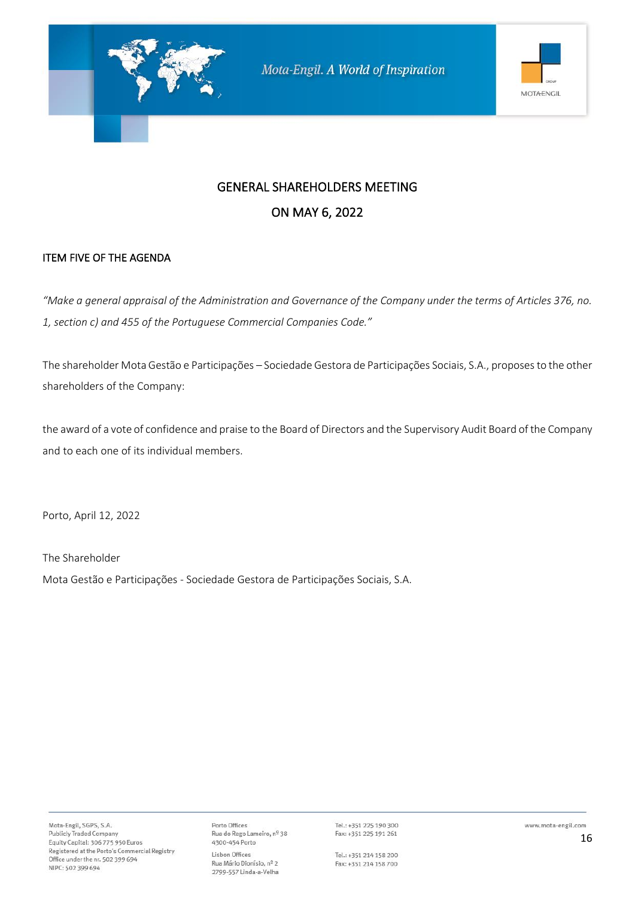

### ITEM FIVE OF THE AGENDA

*"Make a general appraisal of the Administration and Governance of the Company under the terms of Articles 376, no. 1, section c) and 455 of the Portuguese Commercial Companies Code."*

The shareholder Mota Gestão e Participações – Sociedade Gestora de Participações Sociais, S.A., proposes to the other shareholders of the Company:

the award of a vote of confidence and praise to the Board of Directors and the Supervisory Audit Board of the Company and to each one of its individual members.

Porto, April 12, 2022

The Shareholder

Mota Gestão e Participações - Sociedade Gestora de Participações Sociais, S.A.

Porto Offices Rua do Rego Lameiro, nº 38 4300-454 Porto Lisbon Offices Rua Mário Dionísio, nº 2 2799-557 Linda-a-Velha

Tel.: +351 225 190 300 Fax: +351 225 191 261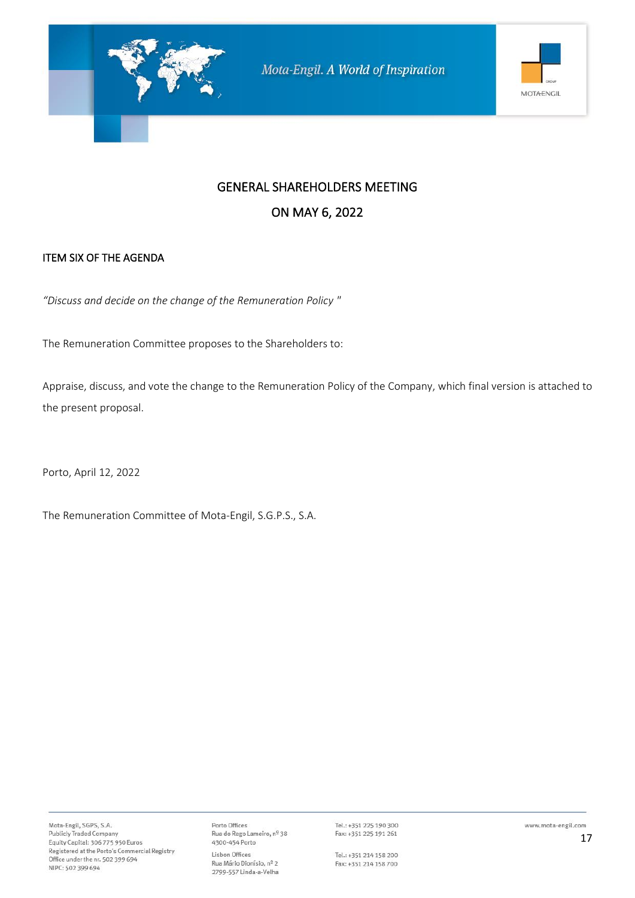

# GENERAL SHAREHOLDERS MEETING

### ON MAY 6, 2022

### ITEM SIX OF THE AGENDA

*"Discuss and decide on the change of the Remuneration Policy "*

The Remuneration Committee proposes to the Shareholders to:

Appraise, discuss, and vote the change to the Remuneration Policy of the Company, which final version is attached to the present proposal.

Porto, April 12, 2022

The Remuneration Committee of Mota-Engil, S.G.P.S., S.A.

Porto Offices Porto Omces<br>Rua do Rego Lameiro, nº 38<br>4300-454 Porto Lisbon Offices Rua Mário Dionísio, nº 2 2799-557 Linda-a-Velha

Tel.: +351 225 190 300 Fax: +351 225 191 261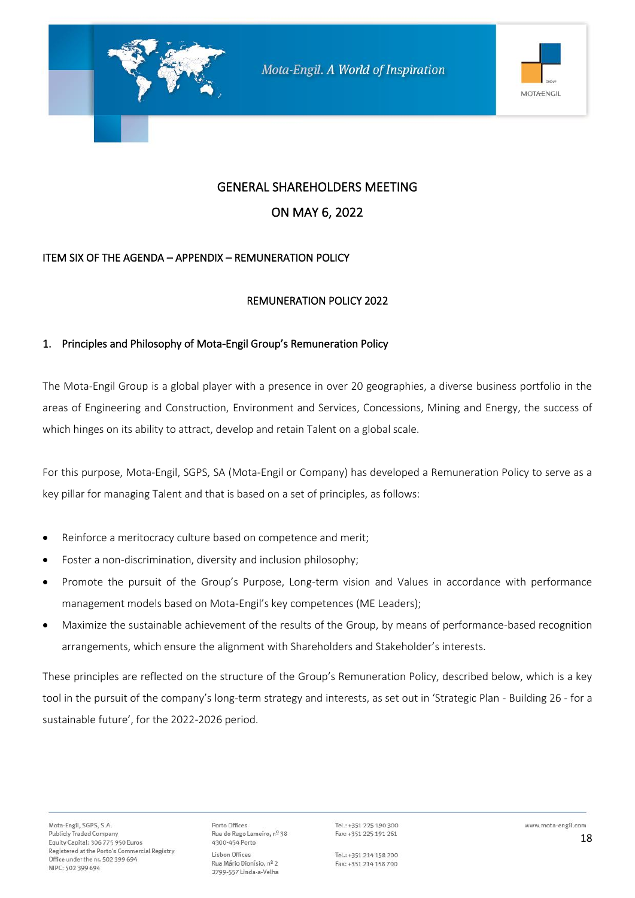

# GENERAL SHAREHOLDERS MEETING

### ON MAY 6, 2022

### ITEM SIX OF THE AGENDA – APPENDIX – REMUNERATION POLICY

#### REMUNERATION POLICY 2022

#### 1. Principles and Philosophy of Mota-Engil Group's Remuneration Policy

The Mota-Engil Group is a global player with a presence in over 20 geographies, a diverse business portfolio in the areas of Engineering and Construction, Environment and Services, Concessions, Mining and Energy, the success of which hinges on its ability to attract, develop and retain Talent on a global scale.

For this purpose, Mota-Engil, SGPS, SA (Mota-Engil or Company) has developed a Remuneration Policy to serve as a key pillar for managing Talent and that is based on a set of principles, as follows:

- Reinforce a meritocracy culture based on competence and merit;
- Foster a non-discrimination, diversity and inclusion philosophy;
- Promote the pursuit of the Group's Purpose, Long-term vision and Values in accordance with performance management models based on Mota-Engil's key competences (ME Leaders);
- Maximize the sustainable achievement of the results of the Group, by means of performance-based recognition arrangements, which ensure the alignment with Shareholders and Stakeholder's interests.

These principles are reflected on the structure of the Group's Remuneration Policy, described below, which is a key tool in the pursuit of the company's long-term strategy and interests, as set out in 'Strategic Plan - Building 26 - for a sustainable future', for the 2022-2026 period.

Porto Offices Rua do Rego Lameiro, nº 38 4300-454 Porto Lisbon Offices Rua Mário Dionísio, nº 2 2799-557 Linda-a-Velha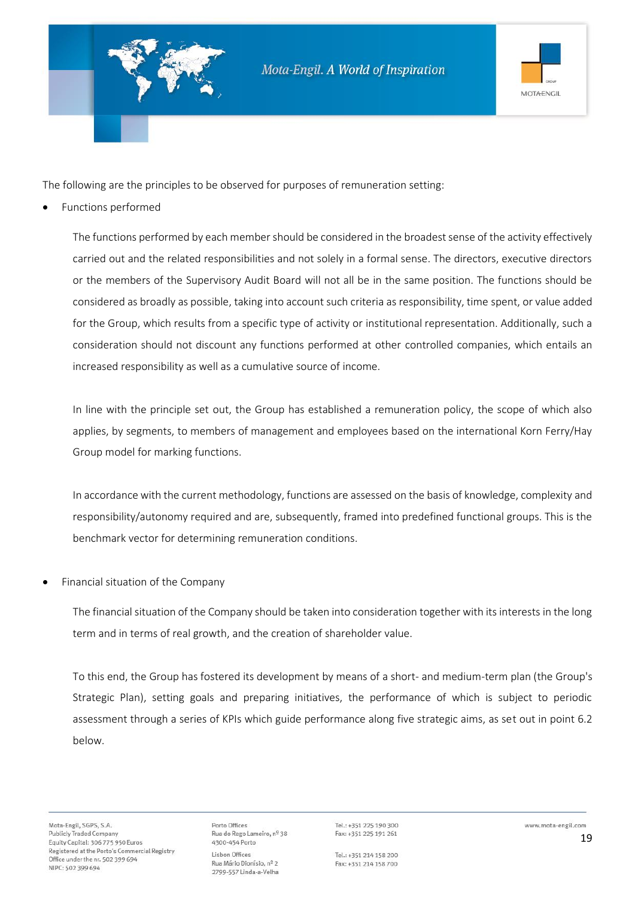

The following are the principles to be observed for purposes of remuneration setting:

• Functions performed

The functions performed by each member should be considered in the broadest sense of the activity effectively carried out and the related responsibilities and not solely in a formal sense. The directors, executive directors or the members of the Supervisory Audit Board will not all be in the same position. The functions should be considered as broadly as possible, taking into account such criteria as responsibility, time spent, or value added for the Group, which results from a specific type of activity or institutional representation. Additionally, such a consideration should not discount any functions performed at other controlled companies, which entails an increased responsibility as well as a cumulative source of income.

In line with the principle set out, the Group has established a remuneration policy, the scope of which also applies, by segments, to members of management and employees based on the international Korn Ferry/Hay Group model for marking functions.

In accordance with the current methodology, functions are assessed on the basis of knowledge, complexity and responsibility/autonomy required and are, subsequently, framed into predefined functional groups. This is the benchmark vector for determining remuneration conditions.

• Financial situation of the Company

The financial situation of the Company should be taken into consideration together with its interests in the long term and in terms of real growth, and the creation of shareholder value.

To this end, the Group has fostered its development by means of a short- and medium-term plan (the Group's Strategic Plan), setting goals and preparing initiatives, the performance of which is subject to periodic assessment through a series of KPIs which guide performance along five strategic aims, as set out in point 6.2 below.

Porto Offices Rua do Rego Lameiro, nº 38 4300-454 Porto Lisbon Offices Rua Mário Dionísio, nº 2 2799-557 Linda-a-Velha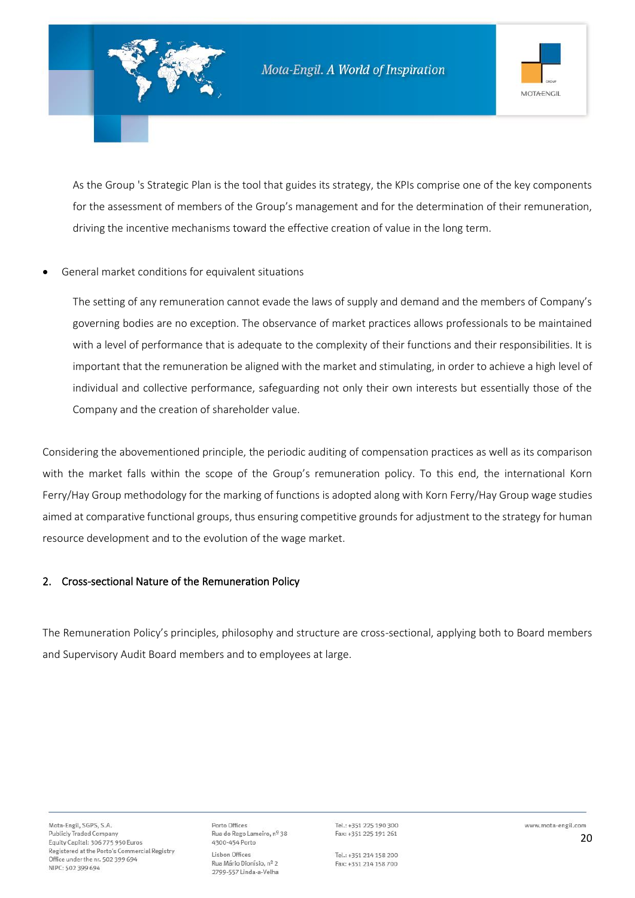

As the Group 's Strategic Plan is the tool that guides its strategy, the KPIs comprise one of the key components for the assessment of members of the Group's management and for the determination of their remuneration, driving the incentive mechanisms toward the effective creation of value in the long term.

#### • General market conditions for equivalent situations

The setting of any remuneration cannot evade the laws of supply and demand and the members of Company's governing bodies are no exception. The observance of market practices allows professionals to be maintained with a level of performance that is adequate to the complexity of their functions and their responsibilities. It is important that the remuneration be aligned with the market and stimulating, in order to achieve a high level of individual and collective performance, safeguarding not only their own interests but essentially those of the Company and the creation of shareholder value.

Considering the abovementioned principle, the periodic auditing of compensation practices as well as its comparison with the market falls within the scope of the Group's remuneration policy. To this end, the international Korn Ferry/Hay Group methodology for the marking of functions is adopted along with Korn Ferry/Hay Group wage studies aimed at comparative functional groups, thus ensuring competitive grounds for adjustment to the strategy for human resource development and to the evolution of the wage market.

#### 2. Cross-sectional Nature of the Remuneration Policy

The Remuneration Policy's principles, philosophy and structure are cross-sectional, applying both to Board members and Supervisory Audit Board members and to employees at large.

Porto Offices Rua do Rego Lameiro, nº 38 4300-454 Porto Lisbon Offices Rua Mário Dionísio, nº 2 2799-557 Linda-a-Velha

Tel.: +351 225 190 300 Fax: +351 225 191 261

Tel.: +351 214 158 200 Fax: +351 214 158 700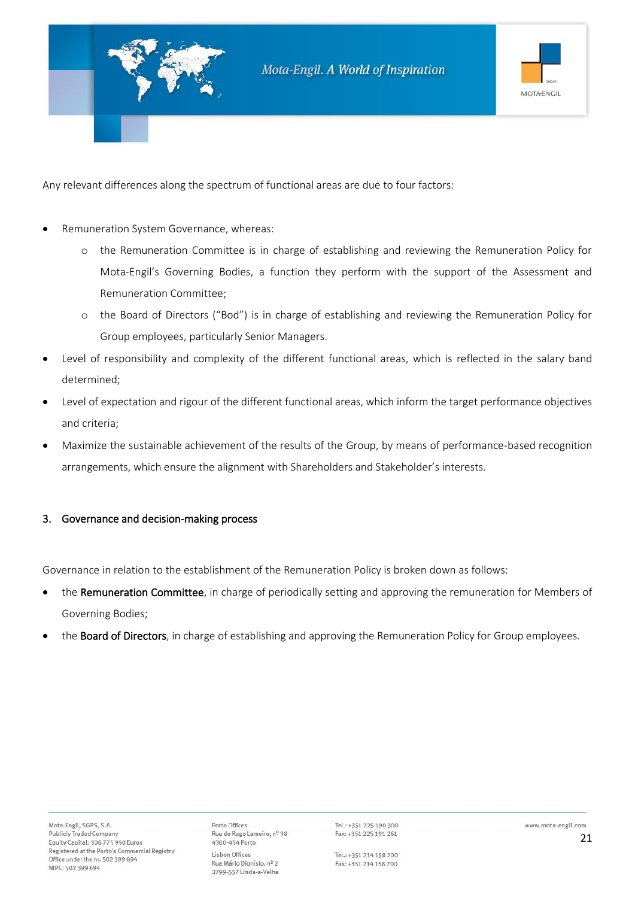

Any relevant differences along the spectrum of functional areas are due to four factors:

- Remuneration System Governance, whereas:
	- o the Remuneration Committee is in charge of establishing and reviewing the Remuneration Policy for Mota-Engil's Governing Bodies, a function they perform with the support of the Assessment and Remuneration Committee;
	- o the Board of Directors ("Bod") is in charge of establishing and reviewing the Remuneration Policy for Group employees, particularly Senior Managers.
- Level of responsibility and complexity of the different functional areas, which is reflected in the salary band determined;
- Level of expectation and rigour of the different functional areas, which inform the target performance objectives and criteria;
- Maximize the sustainable achievement of the results of the Group, by means of performance-based recognition arrangements, which ensure the alignment with Shareholders and Stakeholder's interests.

#### 3. Governance and decision-making process

Governance in relation to the establishment of the Remuneration Policy is broken down as follows:

- the Remuneration Committee, in charge of periodically setting and approving the remuneration for Members of Governing Bodies;
- the Board of Directors, in charge of establishing and approving the Remuneration Policy for Group employees.

Porto Offices Rua do Rego Lameiro, nº 38 4300-454 Porto Lisbon Offices Rua Mário Dionísio, nº 2 2799-557 Linda-a-Velha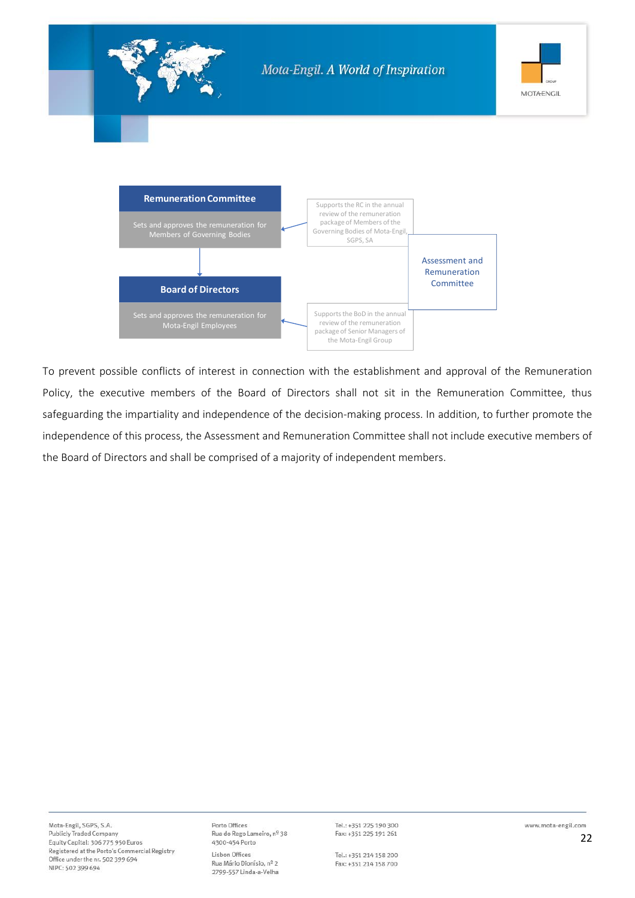

To prevent possible conflicts of interest in connection with the establishment and approval of the Remuneration Policy, the executive members of the Board of Directors shall not sit in the Remuneration Committee, thus safeguarding the impartiality and independence of the decision-making process. In addition, to further promote the independence of this process, the Assessment and Remuneration Committee shall not include executive members of the Board of Directors and shall be comprised of a majority of independent members.

Porto Offices Rua do Rego Lameiro, nº 38 4300-454 Porto Lisbon Offices Rua Mário Dionísio, nº 2 2799-557 Linda-a-Velha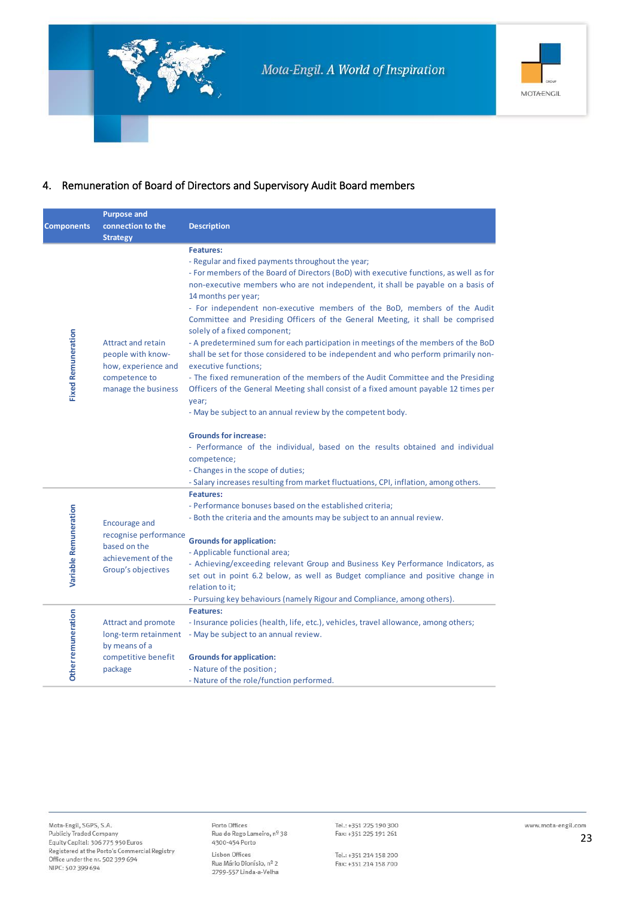

### 4. Remuneration of Board of Directors and Supervisory Audit Board members

|                           | <b>Purpose and</b>                                                                                            |                                                                                                                                                                                                                                                                                                                                                                                                                                                                                                                                                                                                                                                                                                                                                                                                                                                                                                                                                                                                                                                                                                       |
|---------------------------|---------------------------------------------------------------------------------------------------------------|-------------------------------------------------------------------------------------------------------------------------------------------------------------------------------------------------------------------------------------------------------------------------------------------------------------------------------------------------------------------------------------------------------------------------------------------------------------------------------------------------------------------------------------------------------------------------------------------------------------------------------------------------------------------------------------------------------------------------------------------------------------------------------------------------------------------------------------------------------------------------------------------------------------------------------------------------------------------------------------------------------------------------------------------------------------------------------------------------------|
| <b>Components</b>         | connection to the                                                                                             | <b>Description</b>                                                                                                                                                                                                                                                                                                                                                                                                                                                                                                                                                                                                                                                                                                                                                                                                                                                                                                                                                                                                                                                                                    |
|                           | <b>Strategy</b>                                                                                               |                                                                                                                                                                                                                                                                                                                                                                                                                                                                                                                                                                                                                                                                                                                                                                                                                                                                                                                                                                                                                                                                                                       |
| <b>Fixed Remuneration</b> | <b>Attract and retain</b><br>people with know-<br>how, experience and<br>competence to<br>manage the business | <b>Features:</b><br>- Regular and fixed payments throughout the year;<br>- For members of the Board of Directors (BoD) with executive functions, as well as for<br>non-executive members who are not independent, it shall be payable on a basis of<br>14 months per year;<br>- For independent non-executive members of the BoD, members of the Audit<br>Committee and Presiding Officers of the General Meeting, it shall be comprised<br>solely of a fixed component;<br>- A predetermined sum for each participation in meetings of the members of the BoD<br>shall be set for those considered to be independent and who perform primarily non-<br>executive functions;<br>- The fixed remuneration of the members of the Audit Committee and the Presiding<br>Officers of the General Meeting shall consist of a fixed amount payable 12 times per<br>year;<br>- May be subject to an annual review by the competent body.<br><b>Grounds for increase:</b><br>- Performance of the individual, based on the results obtained and individual<br>competence;<br>- Changes in the scope of duties; |
|                           |                                                                                                               | - Salary increases resulting from market fluctuations, CPI, inflation, among others.                                                                                                                                                                                                                                                                                                                                                                                                                                                                                                                                                                                                                                                                                                                                                                                                                                                                                                                                                                                                                  |
| Variable Remuneration     | <b>Encourage and</b><br>recognise performance<br>based on the<br>achievement of the<br>Group's objectives     | <b>Features:</b><br>- Performance bonuses based on the established criteria;<br>- Both the criteria and the amounts may be subject to an annual review.<br><b>Grounds for application:</b><br>- Applicable functional area;<br>- Achieving/exceeding relevant Group and Business Key Performance Indicators, as<br>set out in point 6.2 below, as well as Budget compliance and positive change in                                                                                                                                                                                                                                                                                                                                                                                                                                                                                                                                                                                                                                                                                                    |
|                           |                                                                                                               | relation to it;<br>- Pursuing key behaviours (namely Rigour and Compliance, among others).                                                                                                                                                                                                                                                                                                                                                                                                                                                                                                                                                                                                                                                                                                                                                                                                                                                                                                                                                                                                            |
| <b>Other remuneration</b> | <b>Attract and promote</b><br>by means of a<br>competitive benefit                                            | <b>Features:</b><br>- Insurance policies (health, life, etc.), vehicles, travel allowance, among others;<br>long-term retainment - May be subject to an annual review.<br><b>Grounds for application:</b>                                                                                                                                                                                                                                                                                                                                                                                                                                                                                                                                                                                                                                                                                                                                                                                                                                                                                             |
|                           | package                                                                                                       | - Nature of the position;<br>- Nature of the role/function performed.                                                                                                                                                                                                                                                                                                                                                                                                                                                                                                                                                                                                                                                                                                                                                                                                                                                                                                                                                                                                                                 |

Porto Offices Rua do Rego Lameiro, nº 38<br>4300-454 Porto Lisbon Offices Rua Mário Dionísio, nº 2 2799-557 Linda-a-Velha

Tel.: +351 225 190 300 Fax: +351 225 191 261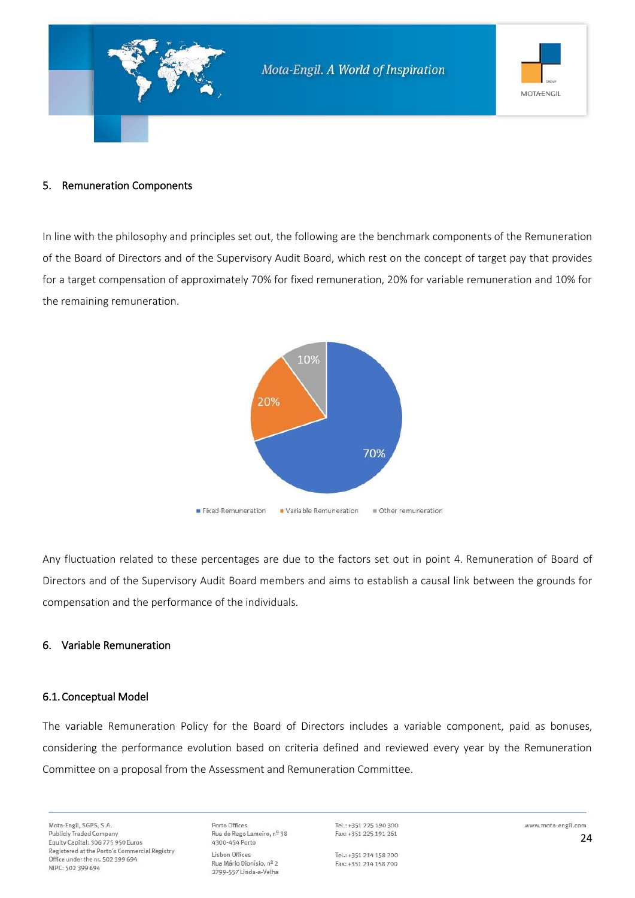

#### 5. Remuneration Components

In line with the philosophy and principles set out, the following are the benchmark components of the Remuneration of the Board of Directors and of the Supervisory Audit Board, which rest on the concept of target pay that provides for a target compensation of approximately 70% for fixed remuneration, 20% for variable remuneration and 10% for the remaining remuneration.



Any fluctuation related to these percentages are due to the factors set out in point 4. Remuneration of Board of Directors and of the Supervisory Audit Board members and aims to establish a causal link between the grounds for compensation and the performance of the individuals.

#### 6. Variable Remuneration

#### 6.1.Conceptual Model

The variable Remuneration Policy for the Board of Directors includes a variable component, paid as bonuses, considering the performance evolution based on criteria defined and reviewed every year by the Remuneration Committee on a proposal from the Assessment and Remuneration Committee.

Mota-Engil, SGPS, S.A. **Publicly Traded Company** Equity Capital: 306 775 950 Euros Registered at the Porto's Commercial Registry Office under the nr. 502 399 694 NIPC: 502 399 694

Porto Offices Rua do Rego Lameiro, nº 38 4300-454 Porto Lisbon Offices Rua Mário Dionísio, nº 2 2799-557 Linda-a-Velha

Tel.: +351 225 190 300 Fax: +351 225 191 261

Tel.: +351 214 158 200 Fax: +351 214 158 700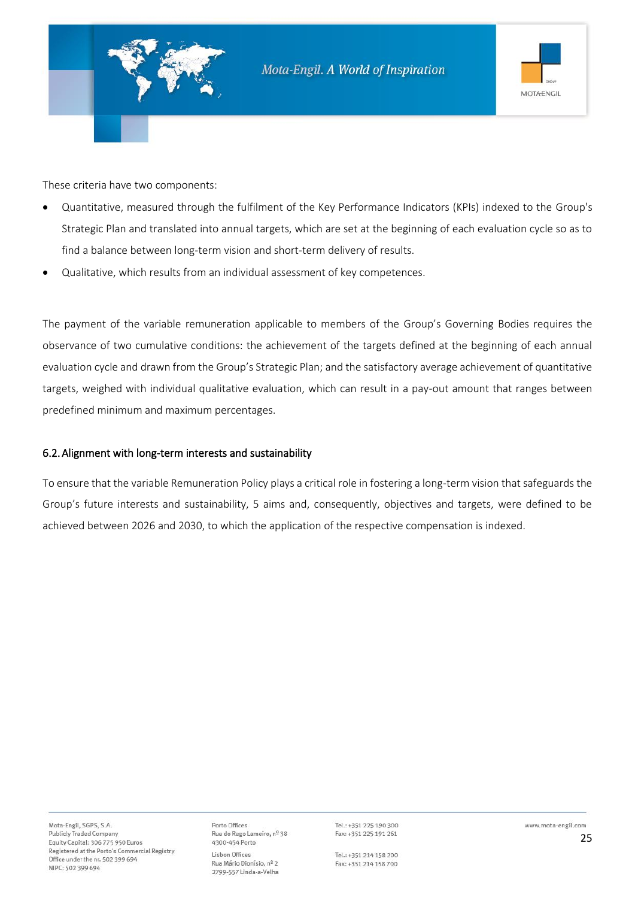

These criteria have two components:

- Quantitative, measured through the fulfilment of the Key Performance Indicators (KPIs) indexed to the Group's Strategic Plan and translated into annual targets, which are set at the beginning of each evaluation cycle so as to find a balance between long-term vision and short-term delivery of results.
- Qualitative, which results from an individual assessment of key competences.

The payment of the variable remuneration applicable to members of the Group's Governing Bodies requires the observance of two cumulative conditions: the achievement of the targets defined at the beginning of each annual evaluation cycle and drawn from the Group's Strategic Plan; and the satisfactory average achievement of quantitative targets, weighed with individual qualitative evaluation, which can result in a pay-out amount that ranges between predefined minimum and maximum percentages.

#### 6.2.Alignment with long-term interests and sustainability

To ensure that the variable Remuneration Policy plays a critical role in fostering a long-term vision that safeguards the Group's future interests and sustainability, 5 aims and, consequently, objectives and targets, were defined to be achieved between 2026 and 2030, to which the application of the respective compensation is indexed.

Porto Offices Rua do Rego Lameiro, nº 38 4300-454 Porto Lisbon Offices Rua Mário Dionísio, nº 2 2799-557 Linda-a-Velha

Tel.: +351 225 190 300 Fax: +351 225 191 261

Tel.: +351 214 158 200 Fax: +351 214 158 700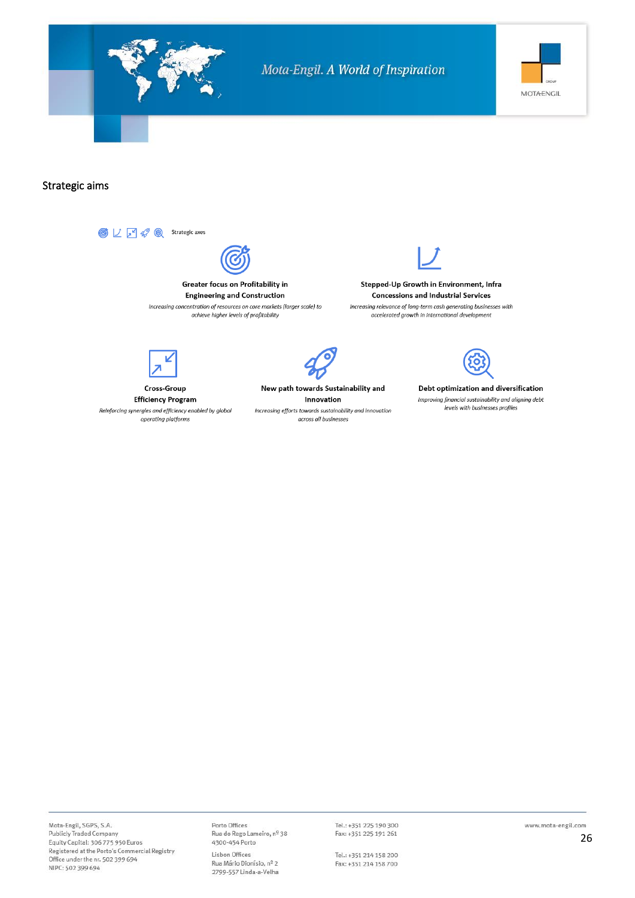

#### Strategic aims

 $\bigcirc \hspace{-0.2cm} \bigcirc \hspace{-0.2cm} \bigcup \hspace{-0.2cm} \bigcirc \hspace{-0.2cm} \bigcirc' \hspace{-0.2cm} \bigcirc \hspace{-0.2cm} \bigcirc' \hspace{-0.2cm} \bigcirc \hspace{-0.2cm} \bigcirc \hspace{-0.2cm} \bigcirc$  Strategic axes Greater focus on Profitability in **Engineering and Construction** Increasing concentration of resources on core markets (larger scale) to achieve higher levels of profitability



Stepped-Up Growth in Environment, Infra **Concessions and Industrial Services** Increasing relevance of long-term cash generating businesses with accelerated growth in international development



**Cross-Group Efficiency Program** 

Reinforcing synergies and efficiency enabled by global operating platforms



New path towards Sustainability and Innovation Increasing efforts towards sustainability and innovation across all businesses



Debt optimization and diversification Improving financial sustainability and aligning debt levels with businesses profiles

Mota-Engil, SGPS, S.A. Publicly Traded Company Equity Capital: 306 775 950 Euros Registered at the Porto's Commercial Registry Office under the nr. 502 399 694 NIPC: 502 399 694

Porto Offices Porto Offices<br>Rua do Rego Lameiro, nº 38<br>4300-454 Porto Lisbon Offices Rua Mário Dionísio, nº 2 2799-557 Linda-a-Velha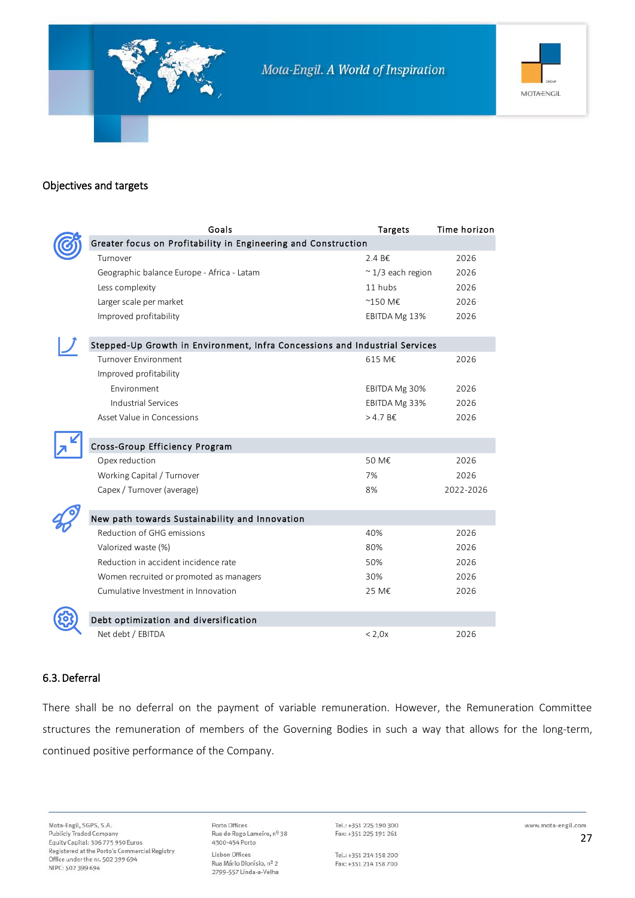



#### Objectives and targets

|  | Goals                                                                       | <b>Targets</b>            | Time horizon |  |  |  |
|--|-----------------------------------------------------------------------------|---------------------------|--------------|--|--|--|
|  | Greater focus on Profitability in Engineering and Construction              |                           |              |  |  |  |
|  | Turnover                                                                    | 2.4 B€                    | 2026         |  |  |  |
|  | Geographic balance Europe - Africa - Latam                                  | $\approx$ 1/3 each region | 2026         |  |  |  |
|  | Less complexity                                                             | 11 hubs                   | 2026         |  |  |  |
|  | Larger scale per market                                                     | ~150 M€                   | 2026         |  |  |  |
|  | Improved profitability                                                      | EBITDA Mg 13%             | 2026         |  |  |  |
|  | Stepped-Up Growth in Environment, Infra Concessions and Industrial Services |                           |              |  |  |  |
|  | <b>Turnover Environment</b>                                                 | 615 M€                    | 2026         |  |  |  |
|  | Improved profitability                                                      |                           |              |  |  |  |
|  | Environment                                                                 | EBITDA Mg 30%             | 2026         |  |  |  |
|  | Industrial Services                                                         | EBITDA Mg 33%             | 2026         |  |  |  |
|  | Asset Value in Concessions                                                  | $>4.7 B \epsilon$         | 2026         |  |  |  |
|  |                                                                             |                           |              |  |  |  |
|  | Cross-Group Efficiency Program                                              |                           |              |  |  |  |
|  | Opex reduction                                                              | 50 M€                     | 2026         |  |  |  |
|  | Working Capital / Turnover                                                  | 7%                        | 2026         |  |  |  |
|  | Capex / Turnover (average)                                                  | 8%                        | 2022-2026    |  |  |  |
|  |                                                                             |                           |              |  |  |  |
|  | New path towards Sustainability and Innovation                              |                           |              |  |  |  |
|  | Reduction of GHG emissions                                                  | 40%                       | 2026         |  |  |  |
|  | Valorized waste (%)                                                         | 80%                       | 2026         |  |  |  |
|  | Reduction in accident incidence rate                                        | 50%                       | 2026         |  |  |  |
|  | Women recruited or promoted as managers                                     | 30%                       | 2026         |  |  |  |
|  | Cumulative Investment in Innovation                                         | 25 M€                     | 2026         |  |  |  |
|  |                                                                             |                           |              |  |  |  |
|  | Debt optimization and diversification                                       |                           |              |  |  |  |
|  | Net debt / EBITDA                                                           | < 2,0x                    | 2026         |  |  |  |

#### 6.3.Deferral

There shall be no deferral on the payment of variable remuneration. However, the Remuneration Committee structures the remuneration of members of the Governing Bodies in such a way that allows for the long-term, continued positive performance of the Company.

Mota-Engil, SGPS, S.A. **Publicly Traded Company** Equity Capital: 306 775 950 Euros Registered at the Porto's Commercial Registry Office under the nr. 502 399 694 NIPC: 502 399 694

Porto Offices Rua do Rego Lameiro, nº 38 4300-454 Porto Lisbon Offices Rua Mário Dionísio, nº 2 2799-557 Linda-a-Velha

Tel.: +351 225 190 300 Fax: +351 225 191 261

Tel.: +351 214 158 200 Fax: +351 214 158 700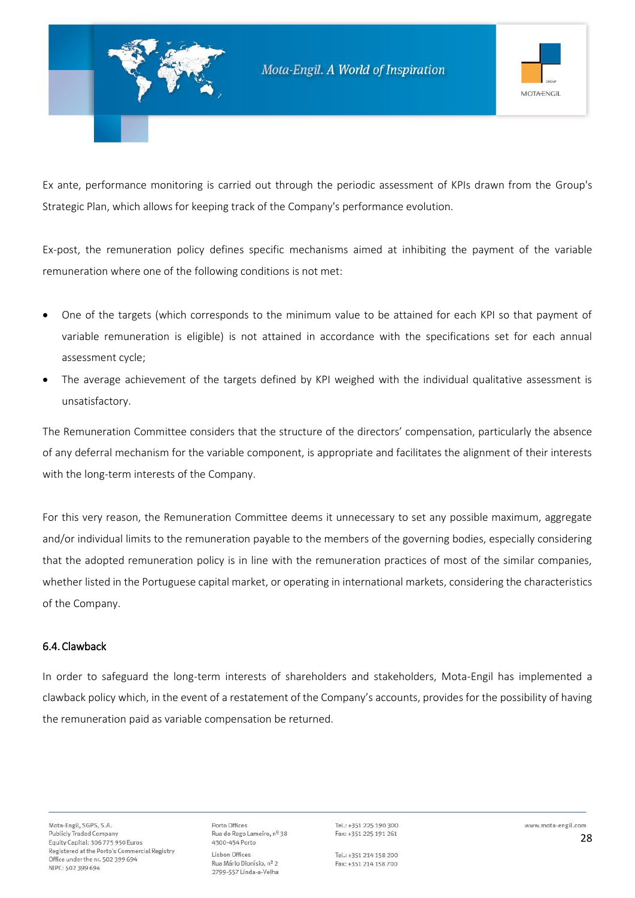

Ex ante, performance monitoring is carried out through the periodic assessment of KPIs drawn from the Group's Strategic Plan, which allows for keeping track of the Company's performance evolution.

Ex-post, the remuneration policy defines specific mechanisms aimed at inhibiting the payment of the variable remuneration where one of the following conditions is not met:

- One of the targets (which corresponds to the minimum value to be attained for each KPI so that payment of variable remuneration is eligible) is not attained in accordance with the specifications set for each annual assessment cycle;
- The average achievement of the targets defined by KPI weighed with the individual qualitative assessment is unsatisfactory.

The Remuneration Committee considers that the structure of the directors' compensation, particularly the absence of any deferral mechanism for the variable component, is appropriate and facilitates the alignment of their interests with the long-term interests of the Company.

For this very reason, the Remuneration Committee deems it unnecessary to set any possible maximum, aggregate and/or individual limits to the remuneration payable to the members of the governing bodies, especially considering that the adopted remuneration policy is in line with the remuneration practices of most of the similar companies, whether listed in the Portuguese capital market, or operating in international markets, considering the characteristics of the Company.

#### 6.4.Clawback

In order to safeguard the long-term interests of shareholders and stakeholders, Mota-Engil has implemented a clawback policy which, in the event of a restatement of the Company's accounts, provides for the possibility of having the remuneration paid as variable compensation be returned.

Porto Offices Rua do Rego Lameiro, nº 38 4300-454 Porto Lisbon Offices Rua Mário Dionísio, nº 2 2799-557 Linda-a-Velha

Tel.: +351 225 190 300 Fax: +351 225 191 261

Tel.: +351 214 158 200 Fax: +351 214 158 700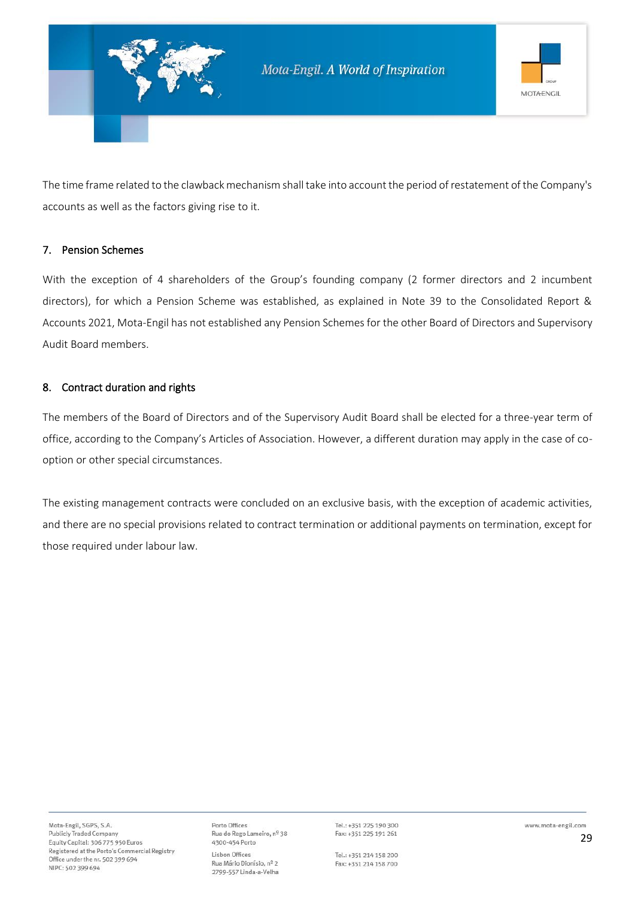

The time frame related to the clawback mechanism shall take into account the period of restatement of the Company's accounts as well as the factors giving rise to it.

#### 7. Pension Schemes

With the exception of 4 shareholders of the Group's founding company (2 former directors and 2 incumbent directors), for which a Pension Scheme was established, as explained in Note 39 to the Consolidated Report & Accounts 2021, Mota-Engil has not established any Pension Schemes for the other Board of Directors and Supervisory Audit Board members.

#### 8. Contract duration and rights

The members of the Board of Directors and of the Supervisory Audit Board shall be elected for a three-year term of office, according to the Company's Articles of Association. However, a different duration may apply in the case of cooption or other special circumstances.

The existing management contracts were concluded on an exclusive basis, with the exception of academic activities, and there are no special provisions related to contract termination or additional payments on termination, except for those required under labour law.

Porto Offices Rua do Rego Lameiro, nº 38 4300-454 Porto Lisbon Offices Rua Mário Dionísio, nº 2 2799-557 Linda-a-Velha

Tel.: +351 225 190 300 Fax: +351 225 191 261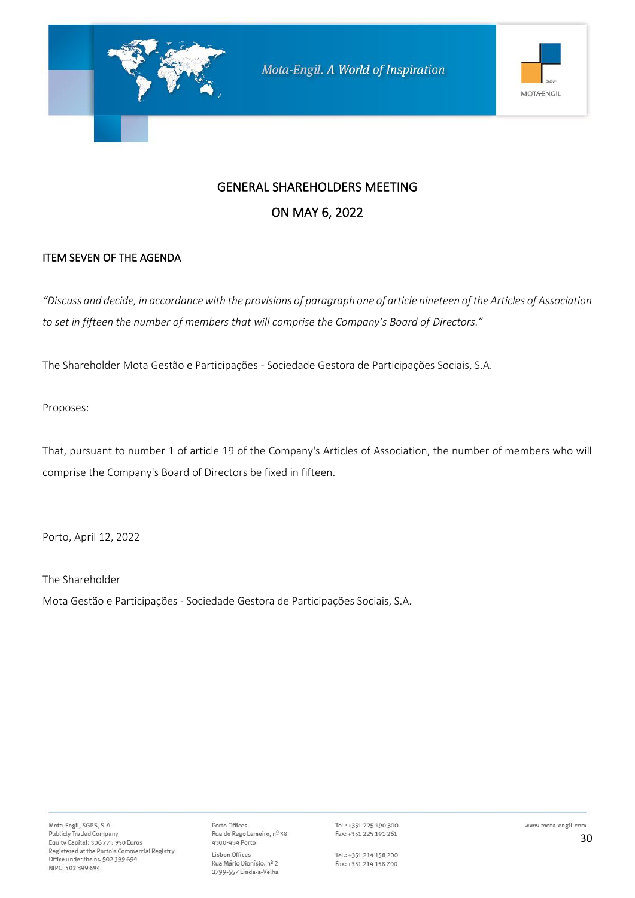

### ITEM SEVEN OF THE AGENDA

*"Discuss and decide, in accordance with the provisions of paragraph one of article nineteen of the Articles of Association to set in fifteen the number of members that will comprise the Company's Board of Directors."*

The Shareholder Mota Gestão e Participações - Sociedade Gestora de Participações Sociais, S.A.

Proposes:

That, pursuant to number 1 of article 19 of the Company's Articles of Association, the number of members who will comprise the Company's Board of Directors be fixed in fifteen.

Porto, April 12, 2022

The Shareholder

Mota Gestão e Participações - Sociedade Gestora de Participações Sociais, S.A.

Porto Offices Rua do Rego Lameiro, nº 38 4300-454 Porto Lisbon Offices Rua Mário Dionísio, nº 2 2799-557 Linda-a-Velha

Tel.: +351 225 190 300 Fax: +351 225 191 261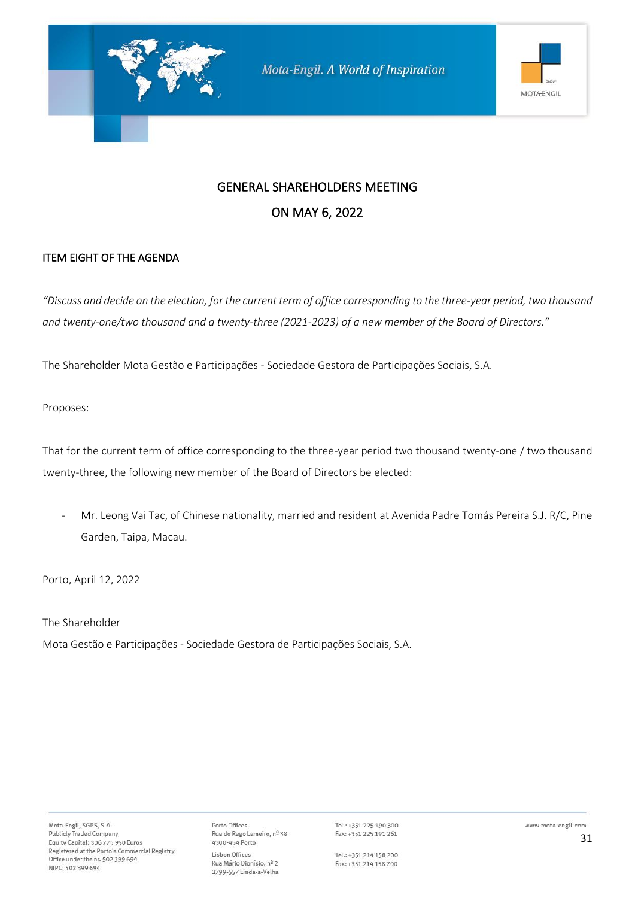

### ITEM EIGHT OF THE AGENDA

*"Discuss and decide on the election, for the current term of office corresponding to the three-year period, two thousand and twenty-one/two thousand and a twenty-three (2021-2023) of a new member of the Board of Directors."*

The Shareholder Mota Gestão e Participações - Sociedade Gestora de Participações Sociais, S.A.

Proposes:

That for the current term of office corresponding to the three-year period two thousand twenty-one / two thousand twenty-three, the following new member of the Board of Directors be elected:

- Mr. Leong Vai Tac, of Chinese nationality, married and resident at Avenida Padre Tomás Pereira S.J. R/C, Pine Garden, Taipa, Macau.

Porto, April 12, 2022

The Shareholder

Mota Gestão e Participações - Sociedade Gestora de Participações Sociais, S.A.

Porto Offices Rua do Rego Lameiro, nº 38 4300-454 Porto Lisbon Offices Rua Mário Dionísio, nº 2 2799-557 Linda-a-Velha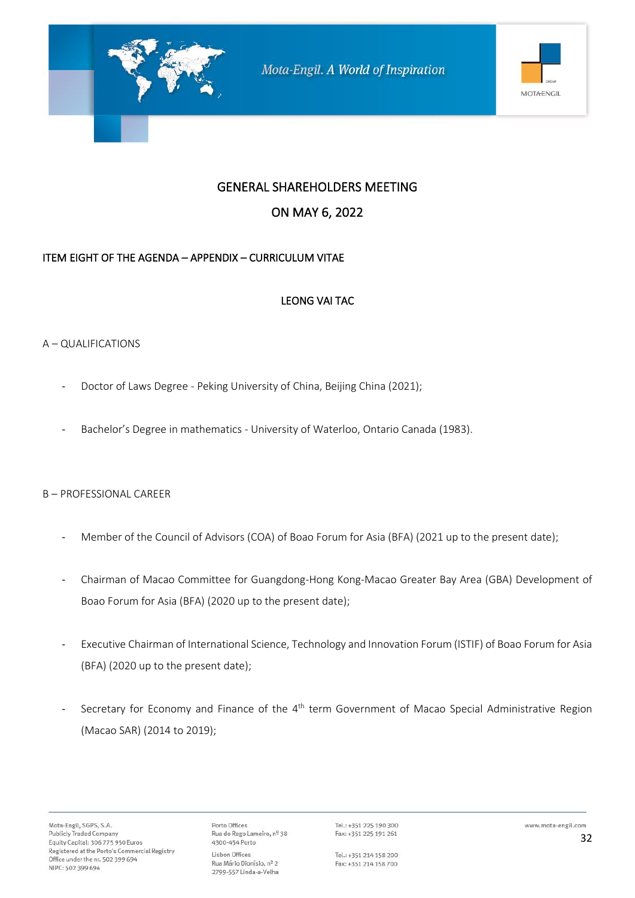

### GENERAL SHAREHOLDERS MEETING

### ON MAY 6, 2022

### ITEM EIGHT OF THE AGENDA – APPENDIX – CURRICULUM VITAE

### LEONG VAI TAC

### A – QUALIFICATIONS

- Doctor of Laws Degree Peking University of China, Beijing China (2021);
- Bachelor's Degree in mathematics University of Waterloo, Ontario Canada (1983).

#### B – PROFESSIONAL CAREER

- Member of the Council of Advisors (COA) of Boao Forum for Asia (BFA) (2021 up to the present date);
- Chairman of Macao Committee for Guangdong-Hong Kong-Macao Greater Bay Area (GBA) Development of Boao Forum for Asia (BFA) (2020 up to the present date);
- Executive Chairman of International Science, Technology and Innovation Forum (ISTIF) of Boao Forum for Asia (BFA) (2020 up to the present date);
- Secretary for Economy and Finance of the 4<sup>th</sup> term Government of Macao Special Administrative Region (Macao SAR) (2014 to 2019);

Porto Offices Rua do Rego Lameiro, nº 38 4300-454 Porto Lisbon Offices Rua Mário Dionísio, nº 2 2799-557 Linda-a-Velha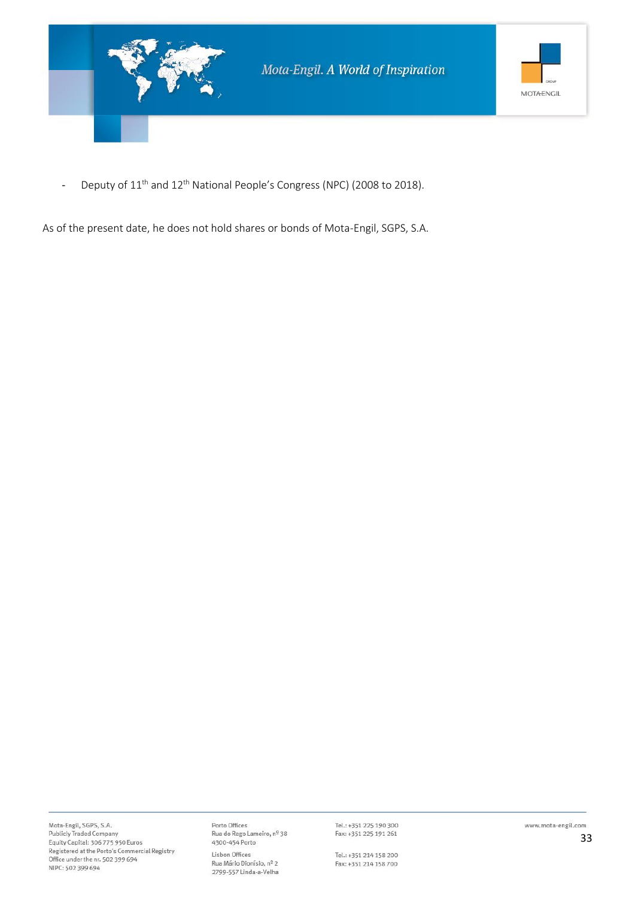

- Deputy of 11<sup>th</sup> and 12<sup>th</sup> National People's Congress (NPC) (2008 to 2018).

As of the present date, he does not hold shares or bonds of Mota-Engil, SGPS, S.A.

Porto Offices Rua do Rego Lameiro, nº 38<br>4300-454 Porto Lisbon Offices Rua Mário Dionísio, nº 2 2799-557 Linda-a-Velha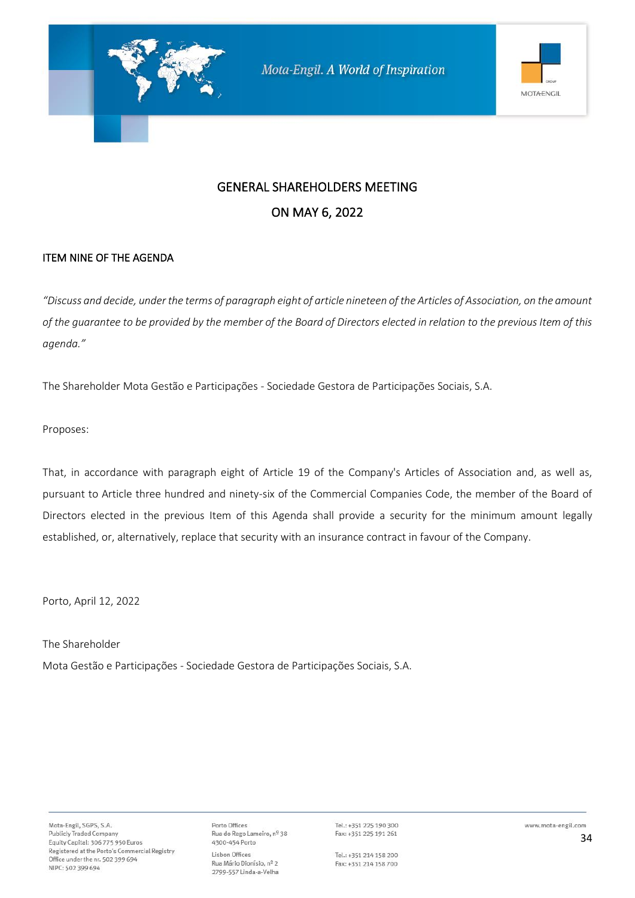

#### ITEM NINE OF THE AGENDA

*"Discuss and decide, under the terms of paragraph eight of article nineteen of the Articles of Association, on the amount of the guarantee to be provided by the member of the Board of Directors elected in relation to the previous Item of this agenda."*

The Shareholder Mota Gestão e Participações - Sociedade Gestora de Participações Sociais, S.A.

Proposes:

That, in accordance with paragraph eight of Article 19 of the Company's Articles of Association and, as well as, pursuant to Article three hundred and ninety-six of the Commercial Companies Code, the member of the Board of Directors elected in the previous Item of this Agenda shall provide a security for the minimum amount legally established, or, alternatively, replace that security with an insurance contract in favour of the Company.

Porto, April 12, 2022

The Shareholder Mota Gestão e Participações - Sociedade Gestora de Participações Sociais, S.A.

Porto Offices Rua do Rego Lameiro, nº 38 4300-454 Porto Lisbon Offices Rua Mário Dionísio, nº 2 2799-557 Linda-a-Velha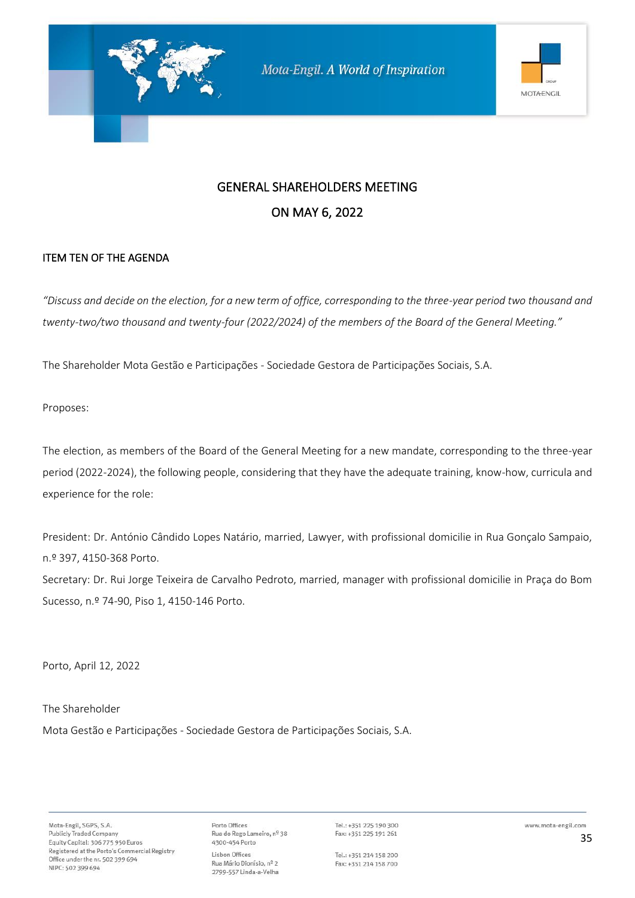

#### ITEM TEN OF THE AGENDA

*"Discuss and decide on the election, for a new term of office, corresponding to the three-year period two thousand and twenty-two/two thousand and twenty-four (2022/2024) of the members of the Board of the General Meeting."*

The Shareholder Mota Gestão e Participações - Sociedade Gestora de Participações Sociais, S.A.

Proposes:

The election, as members of the Board of the General Meeting for a new mandate, corresponding to the three-year period (2022-2024), the following people, considering that they have the adequate training, know-how, curricula and experience for the role:

President: Dr. António Cândido Lopes Natário, married, Lawyer, with profissional domicilie in Rua Gonçalo Sampaio, n.º 397, 4150-368 Porto. Secretary: Dr. Rui Jorge Teixeira de Carvalho Pedroto, married, manager with profissional domicilie in Praça do Bom

Sucesso, n.º 74-90, Piso 1, 4150-146 Porto.

Porto, April 12, 2022

#### The Shareholder

Mota Gestão e Participações - Sociedade Gestora de Participações Sociais, S.A.

Porto Offices Rua do Rego Lameiro, nº 38 4300-454 Porto Lisbon Offices Rua Mário Dionísio, nº 2 2799-557 Linda-a-Velha

Tel.: +351 225 190 300 Fax: +351 225 191 261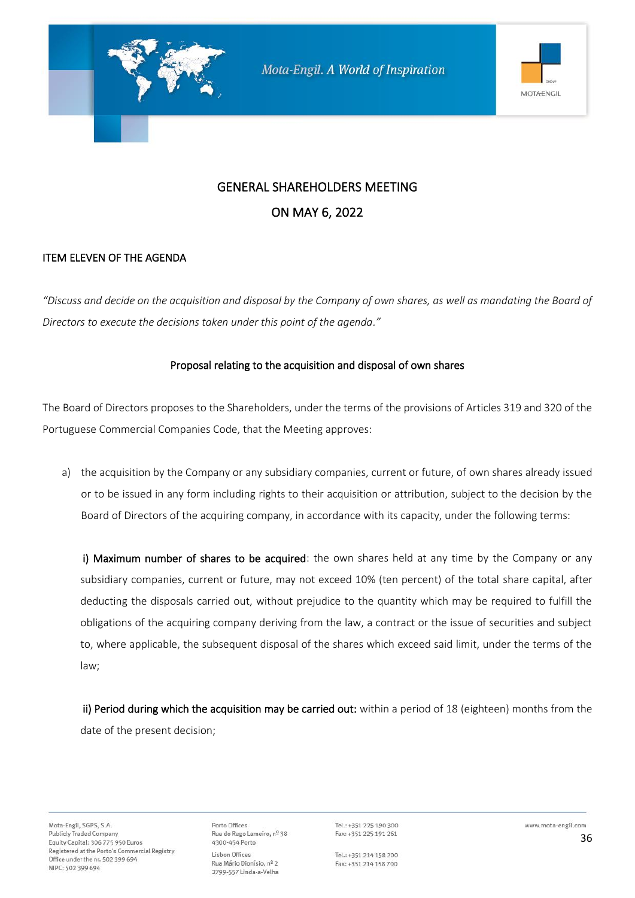

### ITEM ELEVEN OF THE AGENDA

*"Discuss and decide on the acquisition and disposal by the Company of own shares, as well as mandating the Board of Directors to execute the decisions taken under this point of the agenda."*

#### Proposal relating to the acquisition and disposal of own shares

The Board of Directors proposes to the Shareholders, under the terms of the provisions of Articles 319 and 320 of the Portuguese Commercial Companies Code, that the Meeting approves:

a) the acquisition by the Company or any subsidiary companies, current or future, of own shares already issued or to be issued in any form including rights to their acquisition or attribution, subject to the decision by the Board of Directors of the acquiring company, in accordance with its capacity, under the following terms:

i) Maximum number of shares to be acquired: the own shares held at any time by the Company or any subsidiary companies, current or future, may not exceed 10% (ten percent) of the total share capital, after deducting the disposals carried out, without prejudice to the quantity which may be required to fulfill the obligations of the acquiring company deriving from the law, a contract or the issue of securities and subject to, where applicable, the subsequent disposal of the shares which exceed said limit, under the terms of the law;

ii) Period during which the acquisition may be carried out: within a period of 18 (eighteen) months from the date of the present decision;

Porto Offices Rua do Rego Lameiro, nº 38 4300-454 Porto Lisbon Offices Rua Mário Dionísio, nº 2 2799-557 Linda-a-Velha

Tel.: +351 225 190 300 Fax: +351 225 191 261

Tel.: +351 214 158 200 Fax: +351 214 158 700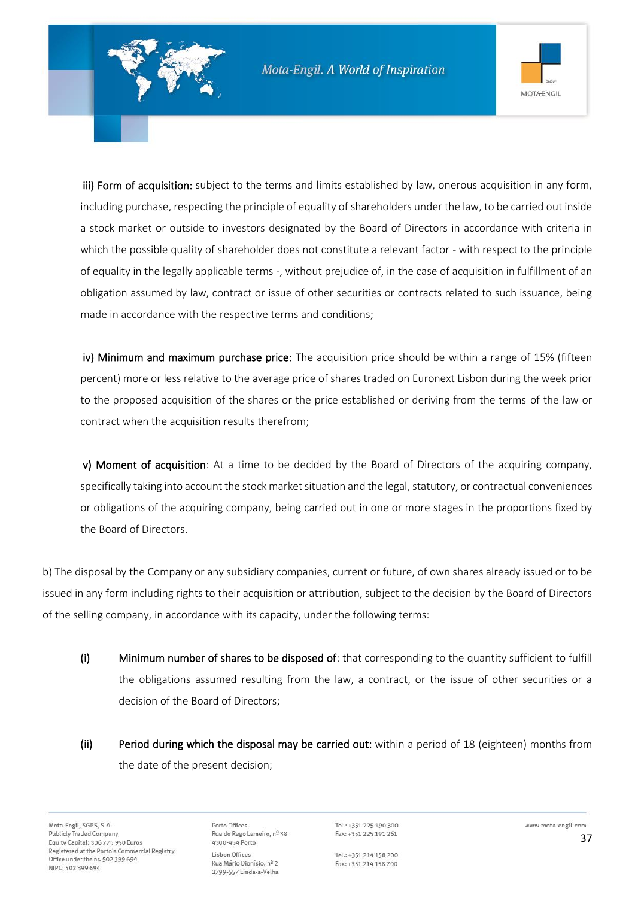

iii) Form of acquisition: subject to the terms and limits established by law, onerous acquisition in any form, including purchase, respecting the principle of equality of shareholders under the law, to be carried out inside a stock market or outside to investors designated by the Board of Directors in accordance with criteria in which the possible quality of shareholder does not constitute a relevant factor - with respect to the principle of equality in the legally applicable terms -, without prejudice of, in the case of acquisition in fulfillment of an obligation assumed by law, contract or issue of other securities or contracts related to such issuance, being made in accordance with the respective terms and conditions;

iv) Minimum and maximum purchase price: The acquisition price should be within a range of 15% (fifteen percent) more or less relative to the average price of shares traded on Euronext Lisbon during the week prior to the proposed acquisition of the shares or the price established or deriving from the terms of the law or contract when the acquisition results therefrom;

v) Moment of acquisition: At a time to be decided by the Board of Directors of the acquiring company, specifically taking into account the stock market situation and the legal, statutory, or contractual conveniences or obligations of the acquiring company, being carried out in one or more stages in the proportions fixed by the Board of Directors.

b) The disposal by the Company or any subsidiary companies, current or future, of own shares already issued or to be issued in any form including rights to their acquisition or attribution, subject to the decision by the Board of Directors of the selling company, in accordance with its capacity, under the following terms:

- (i) Minimum number of shares to be disposed of: that corresponding to the quantity sufficient to fulfill the obligations assumed resulting from the law, a contract, or the issue of other securities or a decision of the Board of Directors;
- (ii) Period during which the disposal may be carried out: within a period of 18 (eighteen) months from the date of the present decision;

Mota-Engil, SGPS, S.A. **Publicly Traded Company** Equity Capital: 306 775 950 Euros Registered at the Porto's Commercial Registry Office under the nr. 502 399 694 NIPC: 502 399 694

Porto Offices Rua do Rego Lameiro, nº 38 4300-454 Porto Lisbon Offices Rua Mário Dionísio, nº 2 2799-557 Linda-a-Velha

Tel.: +351 225 190 300 Fax: +351 225 191 261

Tel.: +351 214 158 200 Fax: +351 214 158 700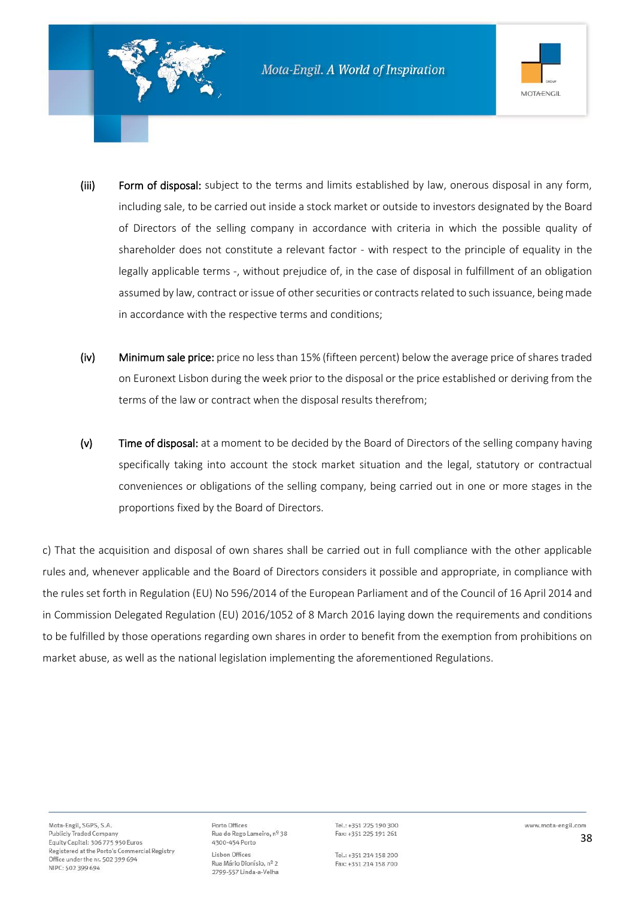

- (iii) Form of disposal: subject to the terms and limits established by law, onerous disposal in any form, including sale, to be carried out inside a stock market or outside to investors designated by the Board of Directors of the selling company in accordance with criteria in which the possible quality of shareholder does not constitute a relevant factor - with respect to the principle of equality in the legally applicable terms -, without prejudice of, in the case of disposal in fulfillment of an obligation assumed by law, contract or issue of other securities or contracts related to such issuance, being made in accordance with the respective terms and conditions;
- (iv) Minimum sale price: price no less than 15% (fifteen percent) below the average price of shares traded on Euronext Lisbon during the week prior to the disposal or the price established or deriving from the terms of the law or contract when the disposal results therefrom;
- (v) Time of disposal: at a moment to be decided by the Board of Directors of the selling company having specifically taking into account the stock market situation and the legal, statutory or contractual conveniences or obligations of the selling company, being carried out in one or more stages in the proportions fixed by the Board of Directors.

c) That the acquisition and disposal of own shares shall be carried out in full compliance with the other applicable rules and, whenever applicable and the Board of Directors considers it possible and appropriate, in compliance with the rules set forth in Regulation (EU) No 596/2014 of the European Parliament and of the Council of 16 April 2014 and in Commission Delegated Regulation (EU) 2016/1052 of 8 March 2016 laying down the requirements and conditions to be fulfilled by those operations regarding own shares in order to benefit from the exemption from prohibitions on market abuse, as well as the national legislation implementing the aforementioned Regulations.

Porto Offices Rua do Rego Lameiro, nº 38 4300-454 Porto Lisbon Offices Rua Mário Dionísio, nº 2 2799-557 Linda-a-Velha

Tel.: +351 225 190 300 Fax: +351 225 191 261

Tel.: +351 214 158 200 Fax: +351 214 158 700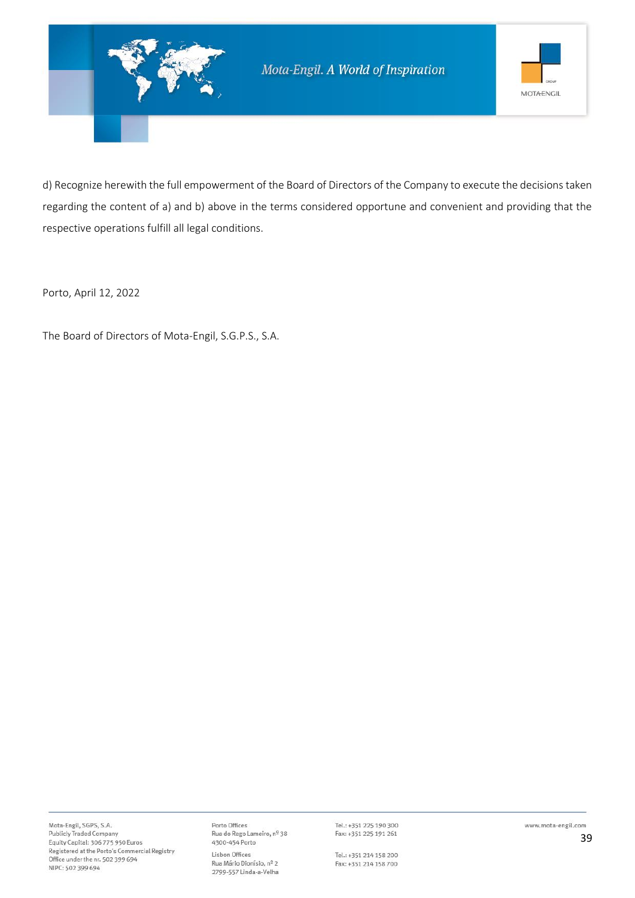

d) Recognize herewith the full empowerment of the Board of Directors of the Company to execute the decisions taken regarding the content of a) and b) above in the terms considered opportune and convenient and providing that the respective operations fulfill all legal conditions.

Porto, April 12, 2022

The Board of Directors of Mota-Engil, S.G.P.S., S.A.

Porto Offices Porto Omces<br>Rua do Rego Lameiro, nº 38<br>4300-454 Porto Lisbon Offices Rua Mário Dionísio, nº 2 2799-557 Linda-a-Velha

Tel.: +351 225 190 300 Fax: +351 225 191 261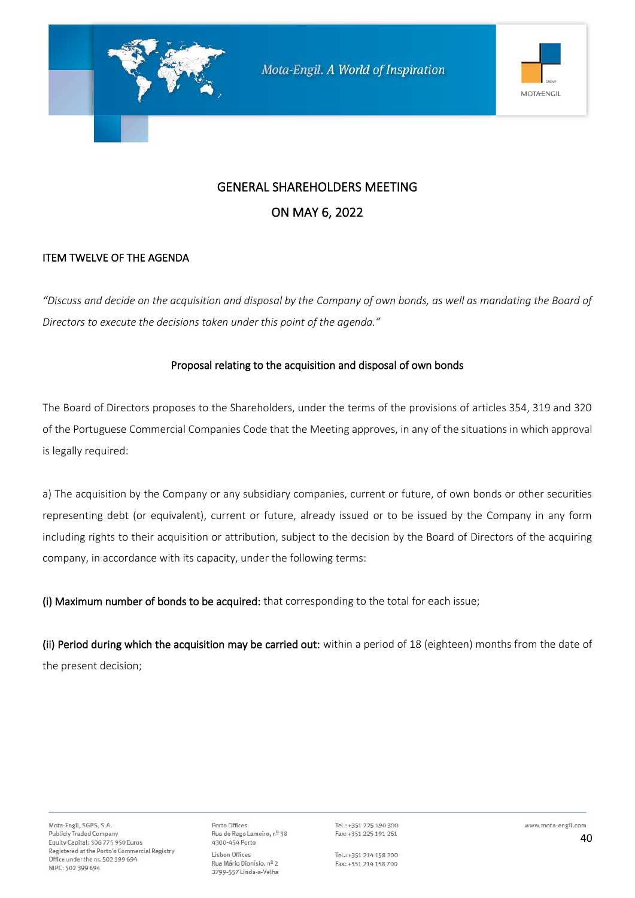

#### ITEM TWELVE OF THE AGENDA

*"Discuss and decide on the acquisition and disposal by the Company of own bonds, as well as mandating the Board of Directors to execute the decisions taken under this point of the agenda."*

#### Proposal relating to the acquisition and disposal of own bonds

The Board of Directors proposes to the Shareholders, under the terms of the provisions of articles 354, 319 and 320 of the Portuguese Commercial Companies Code that the Meeting approves, in any of the situations in which approval is legally required:

a) The acquisition by the Company or any subsidiary companies, current or future, of own bonds or other securities representing debt (or equivalent), current or future, already issued or to be issued by the Company in any form including rights to their acquisition or attribution, subject to the decision by the Board of Directors of the acquiring company, in accordance with its capacity, under the following terms:

(i) Maximum number of bonds to be acquired: that corresponding to the total for each issue;

(ii) Period during which the acquisition may be carried out: within a period of 18 (eighteen) months from the date of the present decision;

Porto Offices Rua do Rego Lameiro, nº 38 4300-454 Porto Lisbon Offices Rua Mário Dionísio, nº 2 2799-557 Linda-a-Velha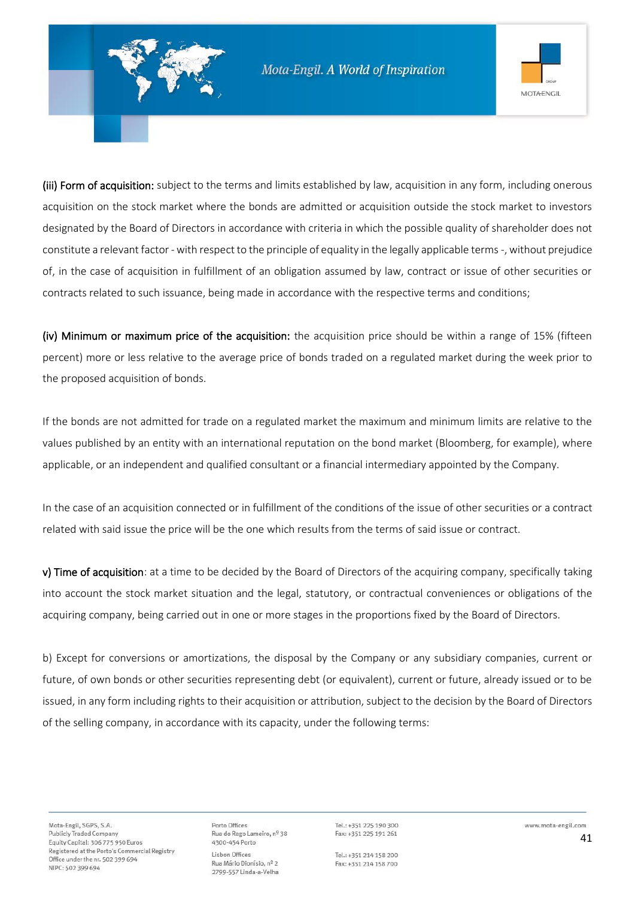

(iii) Form of acquisition: subject to the terms and limits established by law, acquisition in any form, including onerous acquisition on the stock market where the bonds are admitted or acquisition outside the stock market to investors designated by the Board of Directors in accordance with criteria in which the possible quality of shareholder does not constitute a relevant factor -with respect to the principle of equality in the legally applicable terms -, without prejudice of, in the case of acquisition in fulfillment of an obligation assumed by law, contract or issue of other securities or contracts related to such issuance, being made in accordance with the respective terms and conditions;

(iv) Minimum or maximum price of the acquisition: the acquisition price should be within a range of 15% (fifteen percent) more or less relative to the average price of bonds traded on a regulated market during the week prior to the proposed acquisition of bonds.

If the bonds are not admitted for trade on a regulated market the maximum and minimum limits are relative to the values published by an entity with an international reputation on the bond market (Bloomberg, for example), where applicable, or an independent and qualified consultant or a financial intermediary appointed by the Company.

In the case of an acquisition connected or in fulfillment of the conditions of the issue of other securities or a contract related with said issue the price will be the one which results from the terms of said issue or contract.

v) Time of acquisition: at a time to be decided by the Board of Directors of the acquiring company, specifically taking into account the stock market situation and the legal, statutory, or contractual conveniences or obligations of the acquiring company, being carried out in one or more stages in the proportions fixed by the Board of Directors.

b) Except for conversions or amortizations, the disposal by the Company or any subsidiary companies, current or future, of own bonds or other securities representing debt (or equivalent), current or future, already issued or to be issued, in any form including rights to their acquisition or attribution, subject to the decision by the Board of Directors of the selling company, in accordance with its capacity, under the following terms:

Porto Offices Rua do Rego Lameiro, nº 38 4300-454 Porto Lisbon Offices Rua Mário Dionísio, nº 2 2799-557 Linda-a-Velha

Tel.: +351 225 190 300 Fax: +351 225 191 261

Tel.: +351 214 158 200 Fax: +351 214 158 700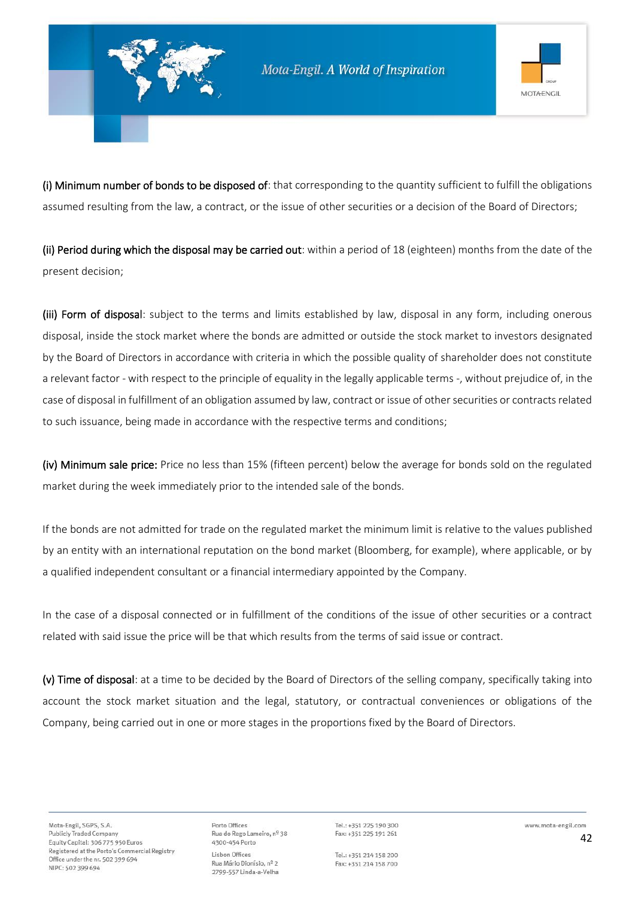

(i) Minimum number of bonds to be disposed of: that corresponding to the quantity sufficient to fulfill the obligations assumed resulting from the law, a contract, or the issue of other securities or a decision of the Board of Directors;

(ii) Period during which the disposal may be carried out: within a period of 18 (eighteen) months from the date of the present decision;

(iii) Form of disposal: subject to the terms and limits established by law, disposal in any form, including onerous disposal, inside the stock market where the bonds are admitted or outside the stock market to investors designated by the Board of Directors in accordance with criteria in which the possible quality of shareholder does not constitute a relevant factor - with respect to the principle of equality in the legally applicable terms -, without prejudice of, in the case of disposal in fulfillment of an obligation assumed by law, contract or issue of other securities or contracts related to such issuance, being made in accordance with the respective terms and conditions;

(iv) Minimum sale price: Price no less than 15% (fifteen percent) below the average for bonds sold on the regulated market during the week immediately prior to the intended sale of the bonds.

If the bonds are not admitted for trade on the regulated market the minimum limit is relative to the values published by an entity with an international reputation on the bond market (Bloomberg, for example), where applicable, or by a qualified independent consultant or a financial intermediary appointed by the Company.

In the case of a disposal connected or in fulfillment of the conditions of the issue of other securities or a contract related with said issue the price will be that which results from the terms of said issue or contract.

(v) Time of disposal: at a time to be decided by the Board of Directors of the selling company, specifically taking into account the stock market situation and the legal, statutory, or contractual conveniences or obligations of the Company, being carried out in one or more stages in the proportions fixed by the Board of Directors.

Porto Offices Rua do Rego Lameiro, nº 38 4300-454 Porto Lisbon Offices Rua Mário Dionísio, nº 2 2799-557 Linda-a-Velha

Tel.: +351 225 190 300 Fax: +351 225 191 261

Tel.: +351 214 158 200 Fax: +351 214 158 700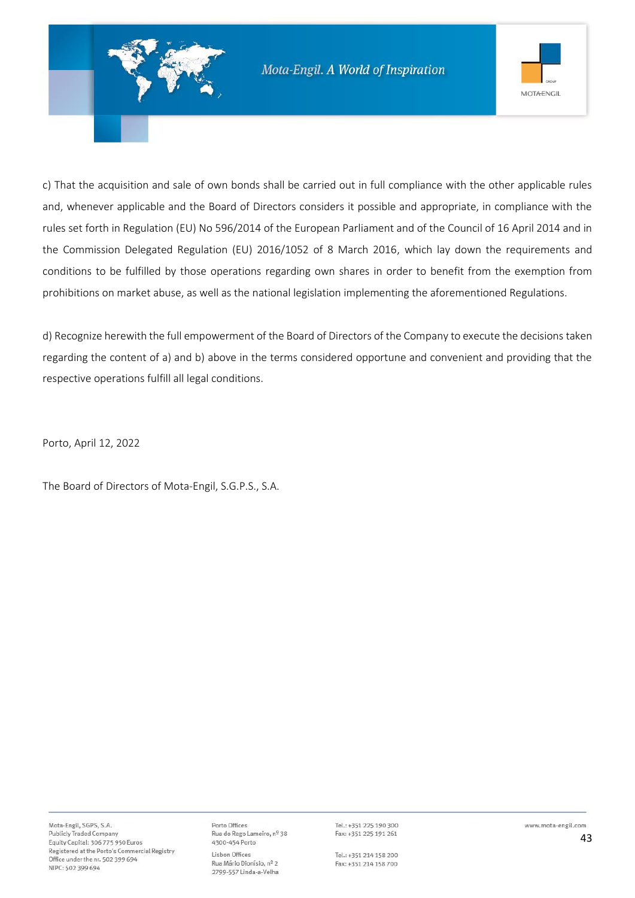

c) That the acquisition and sale of own bonds shall be carried out in full compliance with the other applicable rules and, whenever applicable and the Board of Directors considers it possible and appropriate, in compliance with the rules set forth in Regulation (EU) No 596/2014 of the European Parliament and of the Council of 16 April 2014 and in the Commission Delegated Regulation (EU) 2016/1052 of 8 March 2016, which lay down the requirements and conditions to be fulfilled by those operations regarding own shares in order to benefit from the exemption from prohibitions on market abuse, as well as the national legislation implementing the aforementioned Regulations.

d) Recognize herewith the full empowerment of the Board of Directors of the Company to execute the decisions taken regarding the content of a) and b) above in the terms considered opportune and convenient and providing that the respective operations fulfill all legal conditions.

Porto, April 12, 2022

The Board of Directors of Mota-Engil, S.G.P.S., S.A.

Porto Offices Rua do Rego Lameiro, nº 38 4300-454 Porto Lisbon Offices Rua Mário Dionísio, nº 2 2799-557 Linda-a-Velha

Tel.: +351 225 190 300 Fax: +351 225 191 261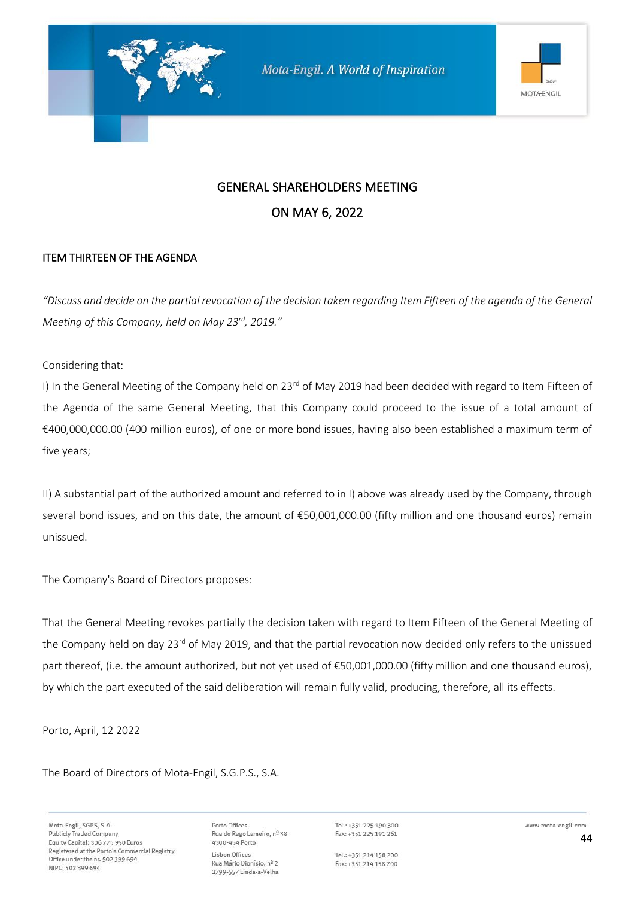

#### ITEM THIRTEEN OF THE AGENDA

*"Discuss and decide on the partial revocation of the decision taken regarding Item Fifteen of the agenda of the General Meeting of this Company, held on May 23rd, 2019."*

Considering that:

I) In the General Meeting of the Company held on 23<sup>rd</sup> of May 2019 had been decided with regard to Item Fifteen of the Agenda of the same General Meeting, that this Company could proceed to the issue of a total amount of €400,000,000.00 (400 million euros), of one or more bond issues, having also been established a maximum term of five years;

II) A substantial part of the authorized amount and referred to in I) above was already used by the Company, through several bond issues, and on this date, the amount of €50,001,000.00 (fifty million and one thousand euros) remain unissued.

The Company's Board of Directors proposes:

That the General Meeting revokes partially the decision taken with regard to Item Fifteen of the General Meeting of the Company held on day 23<sup>rd</sup> of May 2019, and that the partial revocation now decided only refers to the unissued part thereof, (i.e. the amount authorized, but not yet used of €50,001,000.00 (fifty million and one thousand euros), by which the part executed of the said deliberation will remain fully valid, producing, therefore, all its effects.

Porto, April, 12 2022

The Board of Directors of Mota-Engil, S.G.P.S., S.A.

Mota-Engil, SGPS, S.A. **Publicly Traded Company** Equity Capital: 306 775 950 Euros Registered at the Porto's Commercial Registry Office under the nr. 502 399 694 NIPC: 502 399 694

Porto Offices Rua do Rego Lameiro, nº 38 4300-454 Porto Lisbon Offices Rua Mário Dionísio, nº 2 2799-557 Linda-a-Velha

Tel.: +351 225 190 300 Fax: +351 225 191 261

Tel.: +351 214 158 200 Fax: +351 214 158 700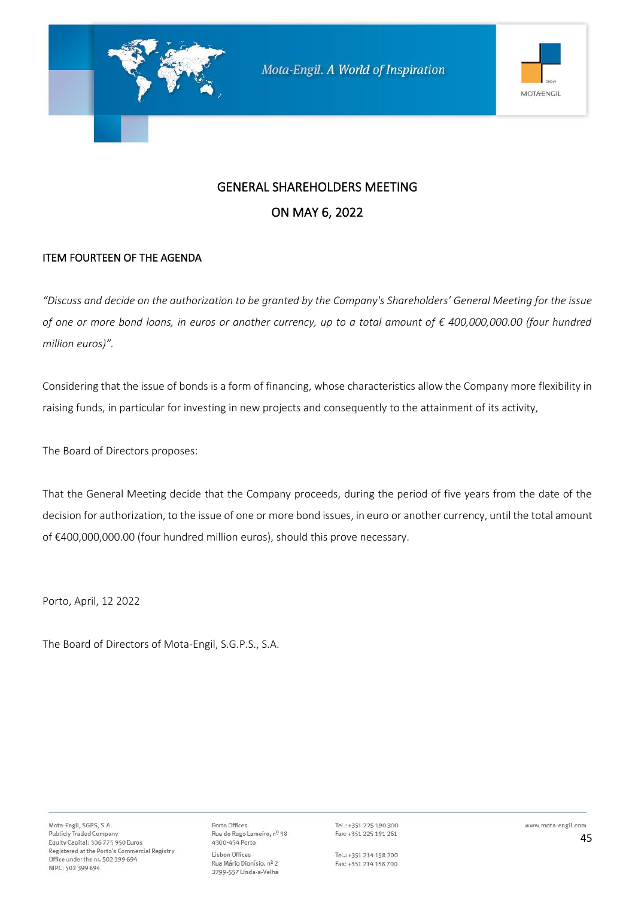

#### ITEM FOURTEEN OF THE AGENDA

*"Discuss and decide on the authorization to be granted by the Company's Shareholders' General Meeting for the issue of one or more bond loans, in euros or another currency, up to a total amount of € 400,000,000.00 (four hundred million euros)".*

Considering that the issue of bonds is a form of financing, whose characteristics allow the Company more flexibility in raising funds, in particular for investing in new projects and consequently to the attainment of its activity,

The Board of Directors proposes:

That the General Meeting decide that the Company proceeds, during the period of five years from the date of the decision for authorization, to the issue of one or more bond issues, in euro or another currency, until the total amount of €400,000,000.00 (four hundred million euros), should this prove necessary.

Porto, April, 12 2022

The Board of Directors of Mota-Engil, S.G.P.S., S.A.

Porto Offices Rua do Rego Lameiro, nº 38 4300-454 Porto Lisbon Offices Rua Mário Dionísio, nº 2 2799-557 Linda-a-Velha

Tel.: +351 225 190 300 Fax: +351 225 191 261